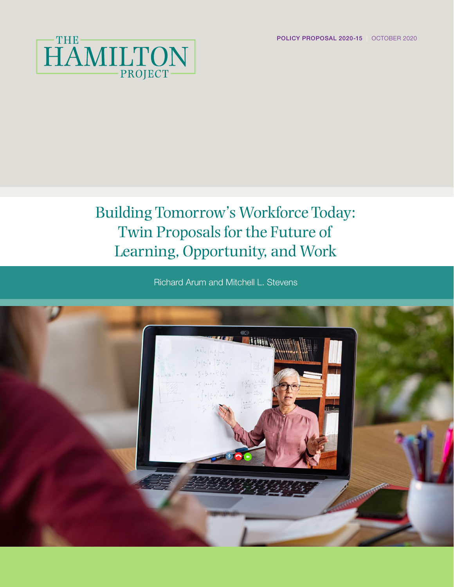POLICY PROPOSAL 2020-15 | OCTOBER 2020



## Building Tomorrow's Workforce Today: Twin Proposals for the Future of Learning, Opportunity, and Work

Richard Arum and Mitchell L. Stevens

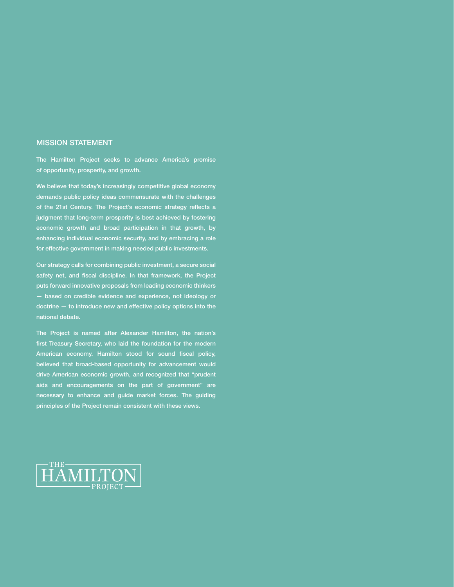#### MISSION STATEMENT

The Hamilton Project seeks to advance America's promise of opportunity, prosperity, and growth.

We believe that today's increasingly competitive global economy demands public policy ideas commensurate with the challenges of the 21st Century. The Project's economic strategy reflects a judgment that long-term prosperity is best achieved by fostering economic growth and broad participation in that growth, by enhancing individual economic security, and by embracing a role for effective government in making needed public investments.

Our strategy calls for combining public investment, a secure social safety net, and fiscal discipline. In that framework, the Project puts forward innovative proposals from leading economic thinkers — based on credible evidence and experience, not ideology or doctrine — to introduce new and effective policy options into the national debate.

The Project is named after Alexander Hamilton, the nation's first Treasury Secretary, who laid the foundation for the modern American economy. Hamilton stood for sound fiscal policy, believed that broad-based opportunity for advancement would drive American economic growth, and recognized that "prudent aids and encouragements on the part of government" are necessary to enhance and guide market forces. The guiding principles of the Project remain consistent with these views.

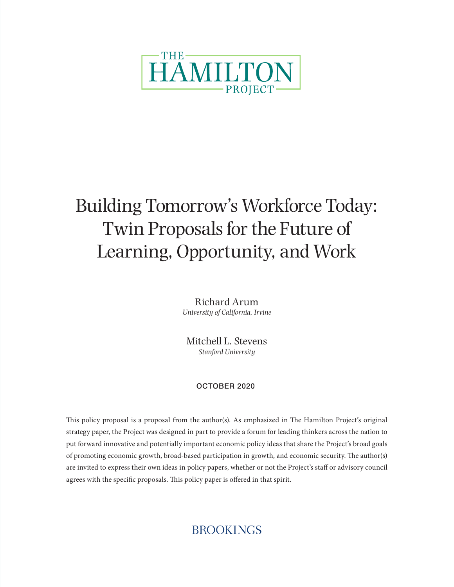

# Building Tomorrow's Workforce Today: Twin Proposals for the Future of Learning, Opportunity, and Work

Richard Arum *University of California, Irvine*

Mitchell L. Stevens *Stanford University*

#### OCTOBER 2020

This policy proposal is a proposal from the author(s). As emphasized in The Hamilton Project's original strategy paper, the Project was designed in part to provide a forum for leading thinkers across the nation to put forward innovative and potentially important economic policy ideas that share the Project's broad goals of promoting economic growth, broad-based participation in growth, and economic security. The author(s) are invited to express their own ideas in policy papers, whether or not the Project's staff or advisory council agrees with the specific proposals. This policy paper is offered in that spirit.

### **BROOKINGS**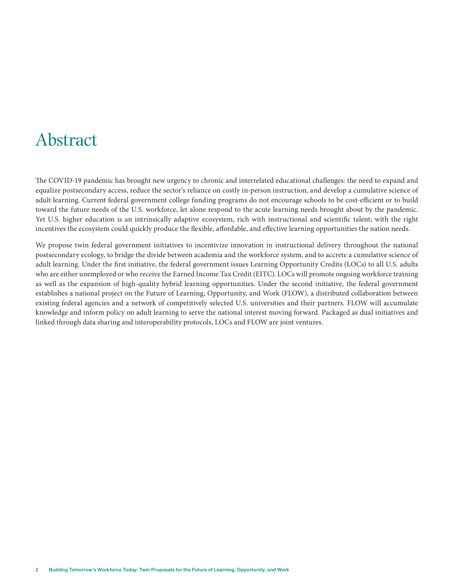### Abstract

The COVID-19 pandemic has brought new urgency to chronic and interrelated educational challenges: the need to expand and equalize postsecondary access, reduce the sector's reliance on costly in-person instruction, and develop a cumulative science of adult learning. Current federal government college funding programs do not encourage schools to be cost-efficient or to build toward the future needs of the U.S. workforce, let alone respond to the acute learning needs brought about by the pandemic. Yet U.S. higher education is an intrinsically adaptive ecosystem, rich with instructional and scientific talent; with the right incentives the ecosystem could quickly produce the flexible, affordable, and effective learning opportunities the nation needs.

We propose twin federal government initiatives to incentivize innovation in instructional delivery throughout the national postsecondary ecology, to bridge the divide between academia and the workforce system, and to accrete a cumulative science of adult learning. Under the first initiative, the federal government issues Learning Opportunity Credits (LOCs) to all U.S. adults who are either unemployed or who receive the Earned Income Tax Credit (EITC). LOCs will promote ongoing workforce training as well as the expansion of high-quality hybrid learning opportunities. Under the second initiative, the federal government establishes a national project on the Future of Learning, Opportunity, and Work (FLOW), a distributed collaboration between existing federal agencies and a network of competitively selected U.S. universities and their partners. FLOW will accumulate knowledge and inform policy on adult learning to serve the national interest moving forward. Packaged as dual initiatives and linked through data sharing and interoperability protocols, LOCs and FLOW are joint ventures.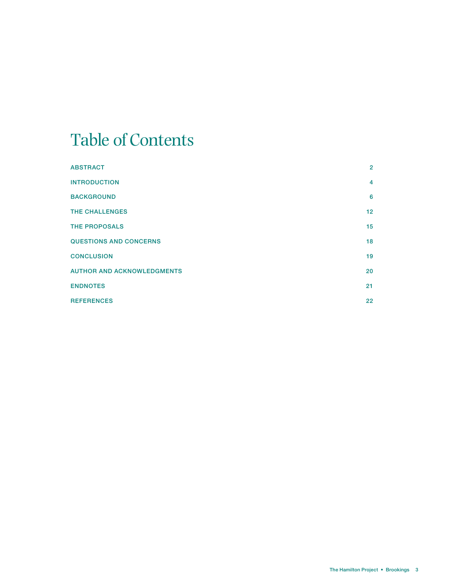## Table of Contents

| <b>ABSTRACT</b>                   | $\overline{2}$  |
|-----------------------------------|-----------------|
| <b>INTRODUCTION</b>               | 4               |
| <b>BACKGROUND</b>                 | 6               |
| <b>THE CHALLENGES</b>             | 12 <sup>2</sup> |
| <b>THE PROPOSALS</b>              | 15              |
| <b>QUESTIONS AND CONCERNS</b>     | 18              |
| <b>CONCLUSION</b>                 | 19              |
| <b>AUTHOR AND ACKNOWLEDGMENTS</b> | 20              |
| <b>ENDNOTES</b>                   | 21              |
| <b>REFERENCES</b>                 | 22              |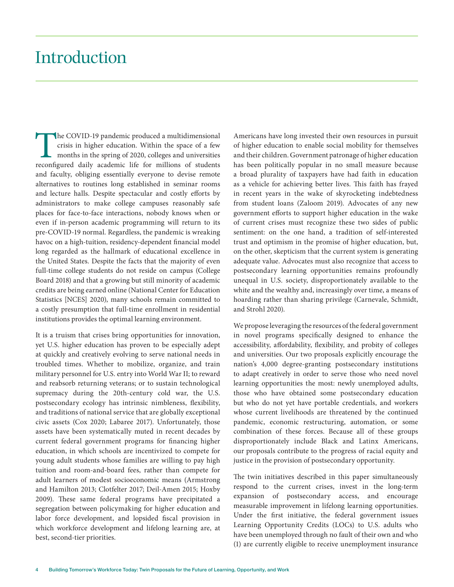### Introduction

The COVID-19 pandemic produced a multidimensional<br>crisis in higher education. Within the space of a few<br>months in the spring of 2020, colleges and universities<br>reconfigured daily academic life for millions of students crisis in higher education. Within the space of a few months in the spring of 2020, colleges and universities reconfigured daily academic life for millions of students and faculty, obliging essentially everyone to devise remote alternatives to routines long established in seminar rooms and lecture halls. Despite spectacular and costly efforts by administrators to make college campuses reasonably safe places for face-to-face interactions, nobody knows when or even if in-person academic programming will return to its pre-COVID-19 normal. Regardless, the pandemic is wreaking havoc on a high-tuition, residency-dependent financial model long regarded as the hallmark of educational excellence in the United States. Despite the facts that the majority of even full-time college students do not reside on campus (College Board 2018) and that a growing but still minority of academic credits are being earned online (National Center for Education Statistics [NCES] 2020), many schools remain committed to a costly presumption that full-time enrollment in residential institutions provides the optimal learning environment.

It is a truism that crises bring opportunities for innovation, yet U.S. higher education has proven to be especially adept at quickly and creatively evolving to serve national needs in troubled times. Whether to mobilize, organize, and train military personnel for U.S. entry into World War II; to reward and reabsorb returning veterans; or to sustain technological supremacy during the 20th-century cold war, the U.S. postsecondary ecology has intrinsic nimbleness, flexibility, and traditions of national service that are globally exceptional civic assets (Cox 2020; Labaree 2017). Unfortunately, those assets have been systematically muted in recent decades by current federal government programs for financing higher education, in which schools are incentivized to compete for young adult students whose families are willing to pay high tuition and room-and-board fees, rather than compete for adult learners of modest socioeconomic means (Armstrong and Hamilton 2013; Clotfelter 2017; Deil-Amen 2015; Hoxby 2009). These same federal programs have precipitated a segregation between policymaking for higher education and labor force development, and lopsided fiscal provision in which workforce development and lifelong learning are, at best, second-tier priorities.

Americans have long invested their own resources in pursuit of higher education to enable social mobility for themselves and their children. Government patronage of higher education has been politically popular in no small measure because a broad plurality of taxpayers have had faith in education as a vehicle for achieving better lives. This faith has frayed in recent years in the wake of skyrocketing indebtedness from student loans (Zaloom 2019). Advocates of any new government efforts to support higher education in the wake of current crises must recognize these two sides of public sentiment: on the one hand, a tradition of self-interested trust and optimism in the promise of higher education, but, on the other, skepticism that the current system is generating adequate value. Advocates must also recognize that access to postsecondary learning opportunities remains profoundly unequal in U.S. society, disproportionately available to the white and the wealthy and, increasingly over time, a means of hoarding rather than sharing privilege (Carnevale, Schmidt, and Strohl 2020).

We propose leveraging the resources of the federal government in novel programs specifically designed to enhance the accessibility, affordability, flexibility, and probity of colleges and universities. Our two proposals explicitly encourage the nation's 4,000 degree-granting postsecondary institutions to adapt creatively in order to serve those who need novel learning opportunities the most: newly unemployed adults, those who have obtained some postsecondary education but who do not yet have portable credentials, and workers whose current livelihoods are threatened by the continued pandemic, economic restructuring, automation, or some combination of these forces. Because all of these groups disproportionately include Black and Latinx Americans, our proposals contribute to the progress of racial equity and justice in the provision of postsecondary opportunity.

The twin initiatives described in this paper simultaneously respond to the current crises, invest in the long-term expansion of postsecondary access, and encourage measurable improvement in lifelong learning opportunities. Under the first initiative, the federal government issues Learning Opportunity Credits (LOCs) to U.S. adults who have been unemployed through no fault of their own and who (1) are currently eligible to receive unemployment insurance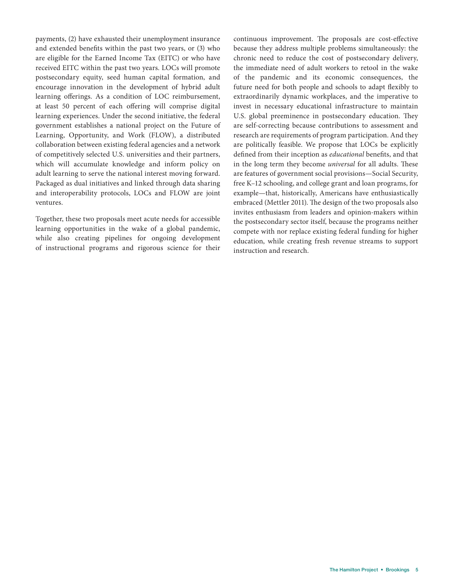payments, (2) have exhausted their unemployment insurance and extended benefits within the past two years, or (3) who are eligible for the Earned Income Tax (EITC) or who have received EITC within the past two years. LOCs will promote postsecondary equity, seed human capital formation, and encourage innovation in the development of hybrid adult learning offerings. As a condition of LOC reimbursement, at least 50 percent of each offering will comprise digital learning experiences. Under the second initiative, the federal government establishes a national project on the Future of Learning, Opportunity, and Work (FLOW), a distributed collaboration between existing federal agencies and a network of competitively selected U.S. universities and their partners, which will accumulate knowledge and inform policy on adult learning to serve the national interest moving forward. Packaged as dual initiatives and linked through data sharing and interoperability protocols, LOCs and FLOW are joint ventures.

Together, these two proposals meet acute needs for accessible learning opportunities in the wake of a global pandemic, while also creating pipelines for ongoing development of instructional programs and rigorous science for their

continuous improvement. The proposals are cost-effective because they address multiple problems simultaneously: the chronic need to reduce the cost of postsecondary delivery, the immediate need of adult workers to retool in the wake of the pandemic and its economic consequences, the future need for both people and schools to adapt flexibly to extraordinarily dynamic workplaces, and the imperative to invest in necessary educational infrastructure to maintain U.S. global preeminence in postsecondary education. They are self-correcting because contributions to assessment and research are requirements of program participation. And they are politically feasible. We propose that LOCs be explicitly defined from their inception as *educational* benefits, and that in the long term they become *universal* for all adults. These are features of government social provisions—Social Security, free K–12 schooling, and college grant and loan programs, for example—that, historically, Americans have enthusiastically embraced (Mettler 2011). The design of the two proposals also invites enthusiasm from leaders and opinion-makers within the postsecondary sector itself, because the programs neither compete with nor replace existing federal funding for higher education, while creating fresh revenue streams to support instruction and research.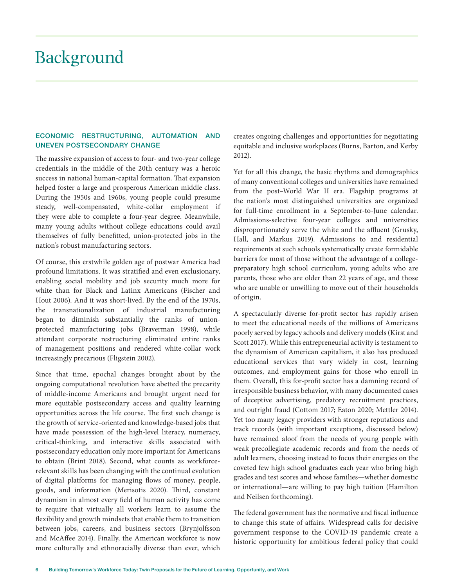### Background

#### ECONOMIC RESTRUCTURING, AUTOMATION AND UNEVEN POSTSECONDARY CHANGE

The massive expansion of access to four- and two-year college credentials in the middle of the 20th century was a heroic success in national human-capital formation. That expansion helped foster a large and prosperous American middle class. During the 1950s and 1960s, young people could presume steady, well-compensated, white-collar employment if they were able to complete a four-year degree. Meanwhile, many young adults without college educations could avail themselves of fully benefitted, union-protected jobs in the nation's robust manufacturing sectors.

Of course, this erstwhile golden age of postwar America had profound limitations. It was stratified and even exclusionary, enabling social mobility and job security much more for white than for Black and Latinx Americans (Fischer and Hout 2006). And it was short-lived. By the end of the 1970s, the transnationalization of industrial manufacturing began to diminish substantially the ranks of unionprotected manufacturing jobs (Braverman 1998), while attendant corporate restructuring eliminated entire ranks of management positions and rendered white-collar work increasingly precarious (Fligstein 2002).

Since that time, epochal changes brought about by the ongoing computational revolution have abetted the precarity of middle-income Americans and brought urgent need for more equitable postsecondary access and quality learning opportunities across the life course. The first such change is the growth of service-oriented and knowledge-based jobs that have made possession of the high-level literacy, numeracy, critical-thinking, and interactive skills associated with postsecondary education only more important for Americans to obtain (Brint 2018). Second, what counts as workforcerelevant skills has been changing with the continual evolution of digital platforms for managing flows of money, people, goods, and information (Merisotis 2020). Third, constant dynamism in almost every field of human activity has come to require that virtually all workers learn to assume the flexibility and growth mindsets that enable them to transition between jobs, careers, and business sectors (Brynjolfsson and McAffee 2014). Finally, the American workforce is now more culturally and ethnoracially diverse than ever, which

creates ongoing challenges and opportunities for negotiating equitable and inclusive workplaces (Burns, Barton, and Kerby 2012).

Yet for all this change, the basic rhythms and demographics of many conventional colleges and universities have remained from the post–World War II era. Flagship programs at the nation's most distinguished universities are organized for full-time enrollment in a September-to-June calendar. Admissions-selective four-year colleges and universities disproportionately serve the white and the affluent (Grusky, Hall, and Markus 2019). Admissions to and residential requirements at such schools systematically create formidable barriers for most of those without the advantage of a collegepreparatory high school curriculum, young adults who are parents, those who are older than 22 years of age, and those who are unable or unwilling to move out of their households of origin.

A spectacularly diverse for-profit sector has rapidly arisen to meet the educational needs of the millions of Americans poorly served by legacy schools and delivery models (Kirst and Scott 2017). While this entrepreneurial activity is testament to the dynamism of American capitalism, it also has produced educational services that vary widely in cost, learning outcomes, and employment gains for those who enroll in them. Overall, this for-profit sector has a damning record of irresponsible business behavior, with many documented cases of deceptive advertising, predatory recruitment practices, and outright fraud (Cottom 2017; Eaton 2020; Mettler 2014). Yet too many legacy providers with stronger reputations and track records (with important exceptions, discussed below) have remained aloof from the needs of young people with weak precollegiate academic records and from the needs of adult learners, choosing instead to focus their energies on the coveted few high school graduates each year who bring high grades and test scores and whose families—whether domestic or international—are willing to pay high tuition (Hamilton and Neilsen forthcoming).

The federal government has the normative and fiscal influence to change this state of affairs. Widespread calls for decisive government response to the COVID-19 pandemic create a historic opportunity for ambitious federal policy that could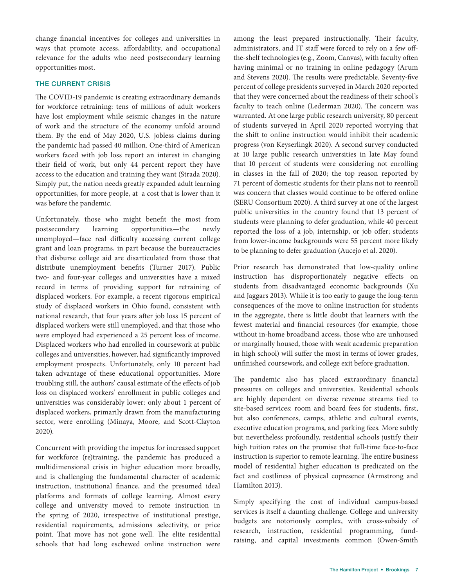change financial incentives for colleges and universities in ways that promote access, affordability, and occupational relevance for the adults who need postsecondary learning opportunities most.

#### THE CURRENT CRISIS

The COVID-19 pandemic is creating extraordinary demands for workforce retraining: tens of millions of adult workers have lost employment while seismic changes in the nature of work and the structure of the economy unfold around them. By the end of May 2020, U.S. jobless claims during the pandemic had passed 40 million. One-third of American workers faced with job loss report an interest in changing their field of work, but only 44 percent report they have access to the education and training they want (Strada 2020). Simply put, the nation needs greatly expanded adult learning opportunities, for more people, at a cost that is lower than it was before the pandemic.

Unfortunately, those who might benefit the most from postsecondary learning opportunities—the newly unemployed—face real difficulty accessing current college grant and loan programs, in part because the bureaucracies that disburse college aid are disarticulated from those that distribute unemployment benefits (Turner 2017). Public two- and four-year colleges and universities have a mixed record in terms of providing support for retraining of displaced workers. For example, a recent rigorous empirical study of displaced workers in Ohio found, consistent with national research, that four years after job loss 15 percent of displaced workers were still unemployed, and that those who *were* employed had experienced a 25 percent loss of income. Displaced workers who had enrolled in coursework at public colleges and universities, however, had significantly improved employment prospects. Unfortunately, only 10 percent had taken advantage of these educational opportunities. More troubling still, the authors' causal estimate of the effects of job loss on displaced workers' enrollment in public colleges and universities was considerably lower: only about 1 percent of displaced workers, primarily drawn from the manufacturing sector, were enrolling (Minaya, Moore, and Scott-Clayton 2020).

Concurrent with providing the impetus for increased support for workforce (re)training, the pandemic has produced a multidimensional crisis in higher education more broadly, and is challenging the fundamental character of academic instruction, institutional finance, and the presumed ideal platforms and formats of college learning. Almost every college and university moved to remote instruction in the spring of 2020, irrespective of institutional prestige, residential requirements, admissions selectivity, or price point. That move has not gone well. The elite residential schools that had long eschewed online instruction were

among the least prepared instructionally. Their faculty, administrators, and IT staff were forced to rely on a few offthe-shelf technologies (e.g., Zoom, Canvas), with faculty often having minimal or no training in online pedagogy (Arum and Stevens 2020). The results were predictable. Seventy-five percent of college presidents surveyed in March 2020 reported that they were concerned about the readiness of their school's faculty to teach online (Lederman 2020). The concern was warranted. At one large public research university, 80 percent of students surveyed in April 2020 reported worrying that the shift to online instruction would inhibit their academic progress (von Keyserlingk 2020). A second survey conducted at 10 large public research universities in late May found that 10 percent of students were considering not enrolling in classes in the fall of 2020; the top reason reported by 71 percent of domestic students for their plans not to reenroll was concern that classes would continue to be offered online (SERU Consortium 2020). A third survey at one of the largest public universities in the country found that 13 percent of students were planning to defer graduation, while 40 percent reported the loss of a job, internship, or job offer; students from lower-income backgrounds were 55 percent more likely to be planning to defer graduation (Aucejo et al. 2020).

Prior research has demonstrated that low-quality online instruction has disproportionately negative effects on students from disadvantaged economic backgrounds (Xu and Jaggars 2013). While it is too early to gauge the long-term consequences of the move to online instruction for students in the aggregate, there is little doubt that learners with the fewest material and financial resources (for example, those without in-home broadband access, those who are unhoused or marginally housed, those with weak academic preparation in high school) will suffer the most in terms of lower grades, unfinished coursework, and college exit before graduation.

The pandemic also has placed extraordinary financial pressures on colleges and universities. Residential schools are highly dependent on diverse revenue streams tied to site-based services: room and board fees for students, first, but also conferences, camps, athletic and cultural events, executive education programs, and parking fees. More subtly but nevertheless profoundly, residential schools justify their high tuition rates on the promise that full-time face-to-face instruction is superior to remote learning. The entire business model of residential higher education is predicated on the fact and costliness of physical copresence (Armstrong and Hamilton 2013).

Simply specifying the cost of individual campus-based services is itself a daunting challenge. College and university budgets are notoriously complex, with cross-subsidy of research, instruction, residential programming, fundraising, and capital investments common (Owen-Smith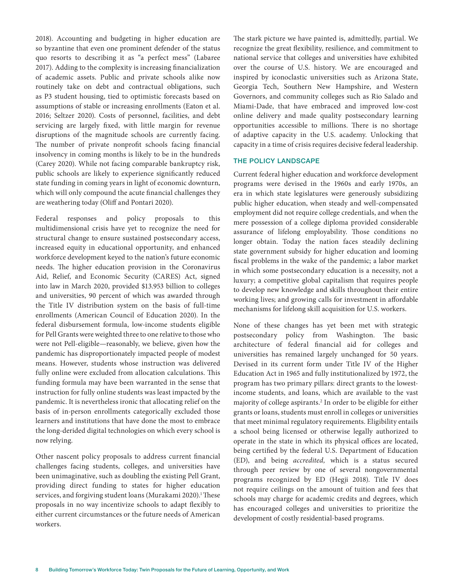2018). Accounting and budgeting in higher education are so byzantine that even one prominent defender of the status quo resorts to describing it as "a perfect mess" (Labaree 2017). Adding to the complexity is increasing financialization of academic assets. Public and private schools alike now routinely take on debt and contractual obligations, such as P3 student housing, tied to optimistic forecasts based on assumptions of stable or increasing enrollments (Eaton et al. 2016; Seltzer 2020). Costs of personnel, facilities, and debt servicing are largely fixed, with little margin for revenue disruptions of the magnitude schools are currently facing. The number of private nonprofit schools facing financial insolvency in coming months is likely to be in the hundreds (Carey 2020). While not facing comparable bankruptcy risk, public schools are likely to experience significantly reduced state funding in coming years in light of economic downturn, which will only compound the acute financial challenges they are weathering today (Oliff and Pontari 2020).

Federal responses and policy proposals to this multidimensional crisis have yet to recognize the need for structural change to ensure sustained postsecondary access, increased equity in educational opportunity, and enhanced workforce development keyed to the nation's future economic needs. The higher education provision in the Coronavirus Aid, Relief, and Economic Security (CARES) Act, signed into law in March 2020, provided \$13.953 billion to colleges and universities, 90 percent of which was awarded through the Title IV distribution system on the basis of full-time enrollments (American Council of Education 2020). In the federal disbursement formula, low-income students eligible for Pell Grants were weighted three to one relative to those who were not Pell-eligible—reasonably, we believe, given how the pandemic has disproportionately impacted people of modest means. However, students whose instruction was delivered fully online were excluded from allocation calculations. This funding formula may have been warranted in the sense that instruction for fully online students was least impacted by the pandemic. It is nevertheless ironic that allocating relief on the basis of in-person enrollments categorically excluded those learners and institutions that have done the most to embrace the long-derided digital technologies on which every school is now relying.

Other nascent policy proposals to address current financial challenges facing students, colleges, and universities have been unimaginative, such as doubling the existing Pell Grant, providing direct funding to states for higher education services, and forgiving student loans (Murakami 2020).<sup>1</sup>These proposals in no way incentivize schools to adapt flexibly to either current circumstances or the future needs of American workers.

The stark picture we have painted is, admittedly, partial. We recognize the great flexibility, resilience, and commitment to national service that colleges and universities have exhibited over the course of U.S. history. We are encouraged and inspired by iconoclastic universities such as Arizona State, Georgia Tech, Southern New Hampshire, and Western Governors, and community colleges such as Rio Salado and Miami-Dade, that have embraced and improved low-cost online delivery and made quality postsecondary learning opportunities accessible to millions. There is no shortage of adaptive capacity in the U.S. academy. Unlocking that capacity in a time of crisis requires decisive federal leadership.

#### THE POLICY LANDSCAPE

Current federal higher education and workforce development programs were devised in the 1960s and early 1970s, an era in which state legislatures were generously subsidizing public higher education, when steady and well-compensated employment did not require college credentials, and when the mere possession of a college diploma provided considerable assurance of lifelong employability. Those conditions no longer obtain. Today the nation faces steadily declining state government subsidy for higher education and looming fiscal problems in the wake of the pandemic; a labor market in which some postsecondary education is a necessity, not a luxury; a competitive global capitalism that requires people to develop new knowledge and skills throughout their entire working lives; and growing calls for investment in affordable mechanisms for lifelong skill acquisition for U.S. workers.

None of these changes has yet been met with strategic postsecondary policy from Washington. The basic architecture of federal financial aid for colleges and universities has remained largely unchanged for 50 years. Devised in its current form under Title IV of the Higher Education Act in 1965 and fully institutionalized by 1972, the program has two primary pillars: direct grants to the lowestincome students, and loans, which are available to the vast majority of college aspirants.<sup>2</sup> In order to be eligible for either grants or loans, students must enroll in colleges or universities that meet minimal regulatory requirements. Eligibility entails a school being licensed or otherwise legally authorized to operate in the state in which its physical offices are located, being certified by the federal U.S. Department of Education (ED), and being *accredited,* which is a status secured through peer review by one of several nongovernmental programs recognized by ED (Hegji 2018). Title IV does not require ceilings on the amount of tuition and fees that schools may charge for academic credits and degrees, which has encouraged colleges and universities to prioritize the development of costly residential-based programs.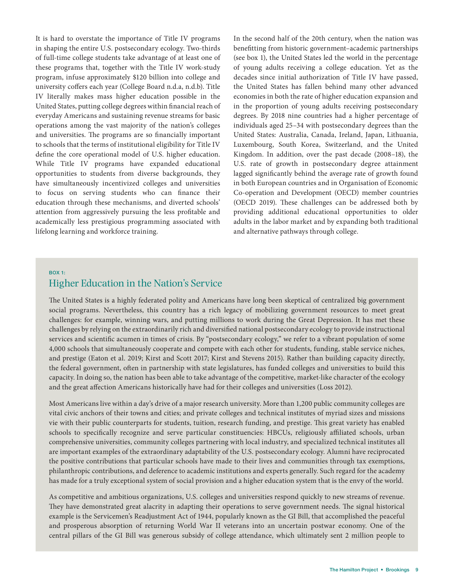It is hard to overstate the importance of Title IV programs in shaping the entire U.S. postsecondary ecology. Two-thirds of full-time college students take advantage of at least one of these programs that, together with the Title IV work-study program, infuse approximately \$120 billion into college and university coffers each year (College Board n.d.a, n.d.b). Title IV literally makes mass higher education possible in the United States, putting college degrees within financial reach of everyday Americans and sustaining revenue streams for basic operations among the vast majority of the nation's colleges and universities. The programs are so financially important to schools that the terms of institutional eligibility for Title IV define the core operational model of U.S. higher education. While Title IV programs have expanded educational opportunities to students from diverse backgrounds, they have simultaneously incentivized colleges and universities to focus on serving students who can finance their education through these mechanisms, and diverted schools' attention from aggressively pursuing the less profitable and academically less prestigious programming associated with lifelong learning and workforce training.

In the second half of the 20th century, when the nation was benefitting from historic government–academic partnerships (see box 1), the United States led the world in the percentage of young adults receiving a college education. Yet as the decades since initial authorization of Title IV have passed, the United States has fallen behind many other advanced economies in both the rate of higher education expansion and in the proportion of young adults receiving postsecondary degrees. By 2018 nine countries had a higher percentage of individuals aged 25–34 with postsecondary degrees than the United States: Australia, Canada, Ireland, Japan, Lithuania, Luxembourg, South Korea, Switzerland, and the United Kingdom. In addition, over the past decade (2008–18), the U.S. rate of growth in postsecondary degree attainment lagged significantly behind the average rate of growth found in both European countries and in Organisation of Economic Co-operation and Development (OECD) member countries (OECD 2019). These challenges can be addressed both by providing additional educational opportunities to older adults in the labor market and by expanding both traditional and alternative pathways through college.

#### BOX 1:

#### Higher Education in the Nation's Service

The United States is a highly federated polity and Americans have long been skeptical of centralized big government social programs. Nevertheless, this country has a rich legacy of mobilizing government resources to meet great challenges: for example, winning wars, and putting millions to work during the Great Depression. It has met these challenges by relying on the extraordinarily rich and diversified national postsecondary ecology to provide instructional services and scientific acumen in times of crisis. By "postsecondary ecology," we refer to a vibrant population of some 4,000 schools that simultaneously cooperate and compete with each other for students, funding, stable service niches, and prestige (Eaton et al. 2019; Kirst and Scott 2017; Kirst and Stevens 2015). Rather than building capacity directly, the federal government, often in partnership with state legislatures, has funded colleges and universities to build this capacity. In doing so, the nation has been able to take advantage of the competitive, market-like character of the ecology and the great affection Americans historically have had for their colleges and universities (Loss 2012).

Most Americans live within a day's drive of a major research university. More than 1,200 public community colleges are vital civic anchors of their towns and cities; and private colleges and technical institutes of myriad sizes and missions vie with their public counterparts for students, tuition, research funding, and prestige. This great variety has enabled schools to specifically recognize and serve particular constituencies: HBCUs, religiously affiliated schools, urban comprehensive universities, community colleges partnering with local industry, and specialized technical institutes all are important examples of the extraordinary adaptability of the U.S. postsecondary ecology. Alumni have reciprocated the positive contributions that particular schools have made to their lives and communities through tax exemptions, philanthropic contributions, and deference to academic institutions and experts generally. Such regard for the academy has made for a truly exceptional system of social provision and a higher education system that is the envy of the world.

As competitive and ambitious organizations, U.S. colleges and universities respond quickly to new streams of revenue. They have demonstrated great alacrity in adapting their operations to serve government needs. The signal historical example is the Servicemen's Readjustment Act of 1944, popularly known as the GI Bill, that accomplished the peaceful and prosperous absorption of returning World War II veterans into an uncertain postwar economy. One of the central pillars of the GI Bill was generous subsidy of college attendance, which ultimately sent 2 million people to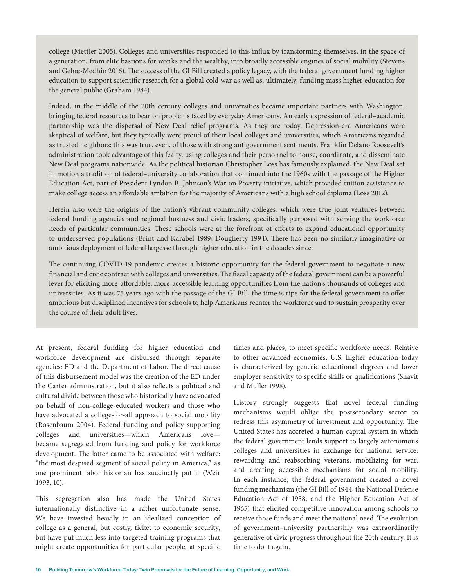college (Mettler 2005). Colleges and universities responded to this influx by transforming themselves, in the space of a generation, from elite bastions for wonks and the wealthy, into broadly accessible engines of social mobility (Stevens and Gebre-Medhin 2016). The success of the GI Bill created a policy legacy, with the federal government funding higher education to support scientific research for a global cold war as well as, ultimately, funding mass higher education for the general public (Graham 1984).

Indeed, in the middle of the 20th century colleges and universities became important partners with Washington, bringing federal resources to bear on problems faced by everyday Americans. An early expression of federal–academic partnership was the dispersal of New Deal relief programs. As they are today, Depression-era Americans were skeptical of welfare, but they typically were proud of their local colleges and universities, which Americans regarded as trusted neighbors; this was true, even, of those with strong antigovernment sentiments. Franklin Delano Roosevelt's administration took advantage of this fealty, using colleges and their personnel to house, coordinate, and disseminate New Deal programs nationwide. As the political historian Christopher Loss has famously explained, the New Deal set in motion a tradition of federal–university collaboration that continued into the 1960s with the passage of the Higher Education Act, part of President Lyndon B. Johnson's War on Poverty initiative, which provided tuition assistance to make college access an affordable ambition for the majority of Americans with a high school diploma (Loss 2012).

Herein also were the origins of the nation's vibrant community colleges, which were true joint ventures between federal funding agencies and regional business and civic leaders, specifically purposed with serving the workforce needs of particular communities. These schools were at the forefront of efforts to expand educational opportunity to underserved populations (Brint and Karabel 1989; Dougherty 1994). There has been no similarly imaginative or ambitious deployment of federal largesse through higher education in the decades since.

The continuing COVID-19 pandemic creates a historic opportunity for the federal government to negotiate a new financial and civic contract with colleges and universities. The fiscal capacity of the federal government can be a powerful lever for eliciting more-affordable, more-accessible learning opportunities from the nation's thousands of colleges and universities. As it was 75 years ago with the passage of the GI Bill, the time is ripe for the federal government to offer ambitious but disciplined incentives for schools to help Americans reenter the workforce and to sustain prosperity over the course of their adult lives.

At present, federal funding for higher education and workforce development are disbursed through separate agencies: ED and the Department of Labor. The direct cause of this disbursement model was the creation of the ED under the Carter administration, but it also reflects a political and cultural divide between those who historically have advocated on behalf of non-college-educated workers and those who have advocated a college-for-all approach to social mobility (Rosenbaum 2004). Federal funding and policy supporting colleges and universities—which Americans love became segregated from funding and policy for workforce development. The latter came to be associated with welfare: "the most despised segment of social policy in America," as one prominent labor historian has succinctly put it (Weir 1993, 10).

This segregation also has made the United States internationally distinctive in a rather unfortunate sense. We have invested heavily in an idealized conception of college as a general, but costly, ticket to economic security, but have put much less into targeted training programs that might create opportunities for particular people, at specific times and places, to meet specific workforce needs. Relative to other advanced economies, U.S. higher education today is characterized by generic educational degrees and lower employer sensitivity to specific skills or qualifications (Shavit and Muller 1998).

History strongly suggests that novel federal funding mechanisms would oblige the postsecondary sector to redress this asymmetry of investment and opportunity. The United States has accreted a human capital system in which the federal government lends support to largely autonomous colleges and universities in exchange for national service: rewarding and reabsorbing veterans, mobilizing for war, and creating accessible mechanisms for social mobility. In each instance, the federal government created a novel funding mechanism (the GI Bill of 1944, the National Defense Education Act of 1958, and the Higher Education Act of 1965) that elicited competitive innovation among schools to receive those funds and meet the national need. The evolution of government–university partnership was extraordinarily generative of civic progress throughout the 20th century. It is time to do it again.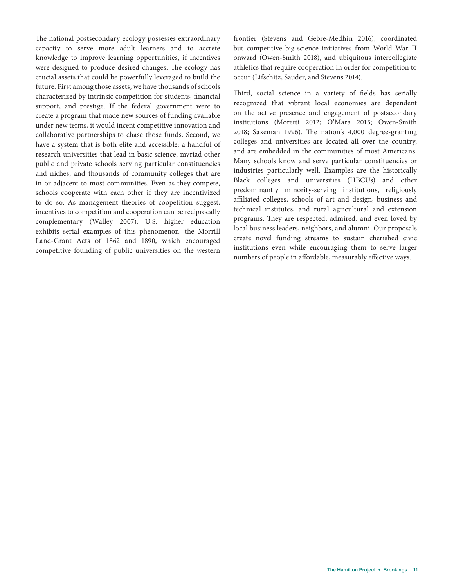The national postsecondary ecology possesses extraordinary capacity to serve more adult learners and to accrete knowledge to improve learning opportunities, if incentives were designed to produce desired changes. The ecology has crucial assets that could be powerfully leveraged to build the future. First among those assets, we have thousands of schools characterized by intrinsic competition for students, financial support, and prestige. If the federal government were to create a program that made new sources of funding available under new terms, it would incent competitive innovation and collaborative partnerships to chase those funds. Second, we have a system that is both elite and accessible: a handful of research universities that lead in basic science, myriad other public and private schools serving particular constituencies and niches, and thousands of community colleges that are in or adjacent to most communities. Even as they compete, schools cooperate with each other if they are incentivized to do so. As management theories of coopetition suggest, incentives to competition and cooperation can be reciprocally complementary (Walley 2007). U.S. higher education exhibits serial examples of this phenomenon: the Morrill Land-Grant Acts of 1862 and 1890, which encouraged competitive founding of public universities on the western

frontier (Stevens and Gebre-Medhin 2016), coordinated but competitive big-science initiatives from World War II onward (Owen-Smith 2018), and ubiquitous intercollegiate athletics that require cooperation in order for competition to occur (Lifschitz, Sauder, and Stevens 2014).

Third, social science in a variety of fields has serially recognized that vibrant local economies are dependent on the active presence and engagement of postsecondary institutions (Moretti 2012; O'Mara 2015; Owen-Smith 2018; Saxenian 1996). The nation's 4,000 degree-granting colleges and universities are located all over the country, and are embedded in the communities of most Americans. Many schools know and serve particular constituencies or industries particularly well. Examples are the historically Black colleges and universities (HBCUs) and other predominantly minority-serving institutions, religiously affiliated colleges, schools of art and design, business and technical institutes, and rural agricultural and extension programs. They are respected, admired, and even loved by local business leaders, neighbors, and alumni. Our proposals create novel funding streams to sustain cherished civic institutions even while encouraging them to serve larger numbers of people in affordable, measurably effective ways.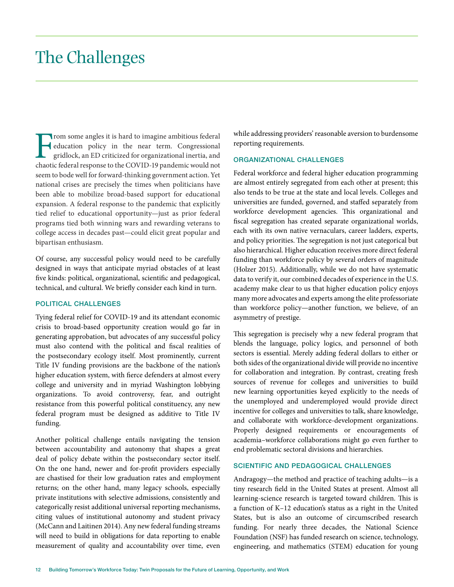### The Challenges

From some angles it is hard to imagine ambitious federal<br>education policy in the near term. Congressional<br>gridlock, an ED criticized for organizational inertia, and<br>chaotic federal response to the COVID-19 pandemic would n education policy in the near term. Congressional gridlock, an ED criticized for organizational inertia, and chaotic federal response to the COVID-19 pandemic would not seem to bode well for forward-thinking government action. Yet national crises are precisely the times when politicians have been able to mobilize broad-based support for educational expansion. A federal response to the pandemic that explicitly tied relief to educational opportunity—just as prior federal programs tied both winning wars and rewarding veterans to college access in decades past—could elicit great popular and bipartisan enthusiasm.

Of course, any successful policy would need to be carefully designed in ways that anticipate myriad obstacles of at least five kinds: political, organizational, scientific and pedagogical, technical, and cultural. We briefly consider each kind in turn.

#### POLITICAL CHALLENGES

Tying federal relief for COVID-19 and its attendant economic crisis to broad-based opportunity creation would go far in generating approbation, but advocates of any successful policy must also contend with the political and fiscal realities of the postsecondary ecology itself. Most prominently, current Title IV funding provisions are the backbone of the nation's higher education system, with fierce defenders at almost every college and university and in myriad Washington lobbying organizations. To avoid controversy, fear, and outright resistance from this powerful political constituency, any new federal program must be designed as additive to Title IV funding.

Another political challenge entails navigating the tension between accountability and autonomy that shapes a great deal of policy debate within the postsecondary sector itself. On the one hand, newer and for-profit providers especially are chastised for their low graduation rates and employment returns; on the other hand, many legacy schools, especially private institutions with selective admissions, consistently and categorically resist additional universal reporting mechanisms, citing values of institutional autonomy and student privacy (McCann and Laitinen 2014). Any new federal funding streams will need to build in obligations for data reporting to enable measurement of quality and accountability over time, even

while addressing providers' reasonable aversion to burdensome reporting requirements.

#### ORGANIZATIONAL CHALLENGES

Federal workforce and federal higher education programming are almost entirely segregated from each other at present; this also tends to be true at the state and local levels. Colleges and universities are funded, governed, and staffed separately from workforce development agencies. This organizational and fiscal segregation has created separate organizational worlds, each with its own native vernaculars, career ladders, experts, and policy priorities. The segregation is not just categorical but also hierarchical. Higher education receives more direct federal funding than workforce policy by several orders of magnitude (Holzer 2015). Additionally, while we do not have systematic data to verify it, our combined decades of experience in the U.S. academy make clear to us that higher education policy enjoys many more advocates and experts among the elite professoriate than workforce policy—another function, we believe, of an asymmetry of prestige.

This segregation is precisely why a new federal program that blends the language, policy logics, and personnel of both sectors is essential. Merely adding federal dollars to either or both sides of the organizational divide will provide no incentive for collaboration and integration. By contrast, creating fresh sources of revenue for colleges and universities to build new learning opportunities keyed explicitly to the needs of the unemployed and underemployed would provide direct incentive for colleges and universities to talk, share knowledge, and collaborate with workforce-development organizations. Properly designed requirements or encouragements of academia–workforce collaborations might go even further to end problematic sectoral divisions and hierarchies.

#### SCIENTIFIC AND PEDAGOGICAL CHALLENGES

Andragogy—the method and practice of teaching adults—is a tiny research field in the United States at present. Almost all learning-science research is targeted toward children. This is a function of K–12 education's status as a right in the United States, but is also an outcome of circumscribed research funding. For nearly three decades, the National Science Foundation (NSF) has funded research on science, technology, engineering, and mathematics (STEM) education for young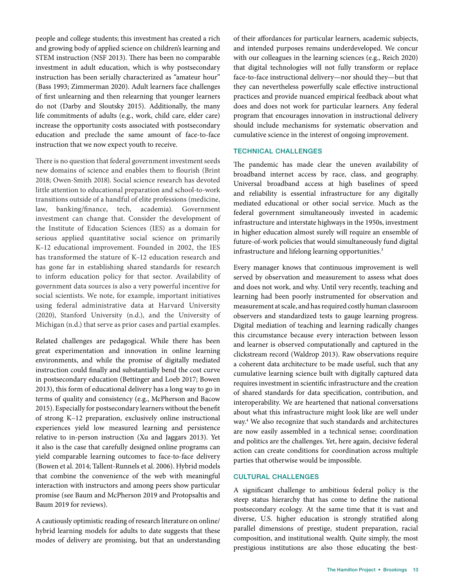people and college students; this investment has created a rich and growing body of applied science on children's learning and STEM instruction (NSF 2013). There has been no comparable investment in adult education, which is why postsecondary instruction has been serially characterized as "amateur hour" (Bass 1993; Zimmerman 2020). Adult learners face challenges of first unlearning and then relearning that younger learners do not (Darby and Sloutsky 2015). Additionally, the many life commitments of adults (e.g., work, child care, elder care) increase the opportunity costs associated with postsecondary education and preclude the same amount of face-to-face instruction that we now expect youth to receive.

There is no question that federal government investment seeds new domains of science and enables them to flourish (Brint 2018; Owen-Smith 2018). Social science research has devoted little attention to educational preparation and school-to-work transitions outside of a handful of elite professions (medicine, law, banking/finance, tech, academia). Government investment can change that. Consider the development of the Institute of Education Sciences (IES) as a domain for serious applied quantitative social science on primarily K–12 educational improvement. Founded in 2002, the IES has transformed the stature of K–12 education research and has gone far in establishing shared standards for research to inform education policy for that sector. Availability of government data sources is also a very powerful incentive for social scientists. We note, for example, important initiatives using federal administrative data at Harvard University (2020), Stanford University (n.d.), and the University of Michigan (n.d.) that serve as prior cases and partial examples.

Related challenges are pedagogical. While there has been great experimentation and innovation in online learning environments, and while the promise of digitally mediated instruction could finally and substantially bend the cost curve in postsecondary education (Bettinger and Loeb 2017; Bowen 2013), this form of educational delivery has a long way to go in terms of quality and consistency (e.g., McPherson and Bacow 2015). Especially for postsecondary learners without the benefit of strong K–12 preparation, exclusively online instructional experiences yield low measured learning and persistence relative to in-person instruction (Xu and Jaggars 2013). Yet it also is the case that carefully designed online programs can yield comparable learning outcomes to face-to-face delivery (Bowen et al. 2014; Tallent-Runnels et al. 2006). Hybrid models that combine the convenience of the web with meaningful interaction with instructors and among peers show particular promise (see Baum and McPherson 2019 and Protopsaltis and Baum 2019 for reviews).

A cautiously optimistic reading of research literature on online/ hybrid learning models for adults to date suggests that these modes of delivery are promising, but that an understanding of their affordances for particular learners, academic subjects, and intended purposes remains underdeveloped. We concur with our colleagues in the learning sciences (e.g., Reich 2020) that digital technologies will not fully transform or replace face-to-face instructional delivery—nor should they—but that they can nevertheless powerfully scale effective instructional practices and provide nuanced empirical feedback about what does and does not work for particular learners. Any federal program that encourages innovation in instructional delivery should include mechanisms for systematic observation and cumulative science in the interest of ongoing improvement.

#### TECHNICAL CHALLENGES

The pandemic has made clear the uneven availability of broadband internet access by race, class, and geography. Universal broadband access at high baselines of speed and reliability is essential infrastructure for any digitally mediated educational or other social service. Much as the federal government simultaneously invested in academic infrastructure and interstate highways in the 1950s, investment in higher education almost surely will require an ensemble of future-of-work policies that would simultaneously fund digital infrastructure and lifelong learning opportunities.<sup>3</sup>

Every manager knows that continuous improvement is well served by observation and measurement to assess what does and does not work, and why. Until very recently, teaching and learning had been poorly instrumented for observation and measurement at scale, and has required costly human classroom observers and standardized tests to gauge learning progress. Digital mediation of teaching and learning radically changes this circumstance because every interaction between lesson and learner is observed computationally and captured in the clickstream record (Waldrop 2013). Raw observations require a coherent data architecture to be made useful, such that any cumulative learning science built with digitally captured data requires investment in scientific infrastructure and the creation of shared standards for data specification, contribution, and interoperability. We are heartened that national conversations about what this infrastructure might look like are well under way.4 We also recognize that such standards and architectures are now easily assembled in a technical sense; coordination and politics are the challenges. Yet, here again, decisive federal action can create conditions for coordination across multiple parties that otherwise would be impossible.

#### CULTURAL CHALLENGES

A significant challenge to ambitious federal policy is the steep status hierarchy that has come to define the national postsecondary ecology. At the same time that it is vast and diverse, U.S. higher education is strongly stratified along parallel dimensions of prestige, student preparation, racial composition, and institutional wealth. Quite simply, the most prestigious institutions are also those educating the best-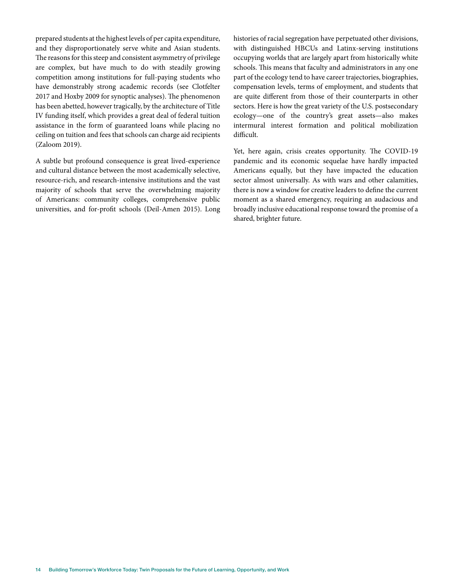prepared students at the highest levels of per capita expenditure, and they disproportionately serve white and Asian students. The reasons for this steep and consistent asymmetry of privilege are complex, but have much to do with steadily growing competition among institutions for full-paying students who have demonstrably strong academic records (see Clotfelter 2017 and Hoxby 2009 for synoptic analyses). The phenomenon has been abetted, however tragically, by the architecture of Title IV funding itself, which provides a great deal of federal tuition assistance in the form of guaranteed loans while placing no ceiling on tuition and fees that schools can charge aid recipients (Zaloom 2019).

A subtle but profound consequence is great lived-experience and cultural distance between the most academically selective, resource-rich, and research-intensive institutions and the vast majority of schools that serve the overwhelming majority of Americans: community colleges, comprehensive public universities, and for-profit schools (Deil-Amen 2015). Long histories of racial segregation have perpetuated other divisions, with distinguished HBCUs and Latinx-serving institutions occupying worlds that are largely apart from historically white schools. This means that faculty and administrators in any one part of the ecology tend to have career trajectories, biographies, compensation levels, terms of employment, and students that are quite different from those of their counterparts in other sectors. Here is how the great variety of the U.S. postsecondary ecology—one of the country's great assets—also makes intermural interest formation and political mobilization difficult.

Yet, here again, crisis creates opportunity. The COVID-19 pandemic and its economic sequelae have hardly impacted Americans equally, but they have impacted the education sector almost universally. As with wars and other calamities, there is now a window for creative leaders to define the current moment as a shared emergency, requiring an audacious and broadly inclusive educational response toward the promise of a shared, brighter future.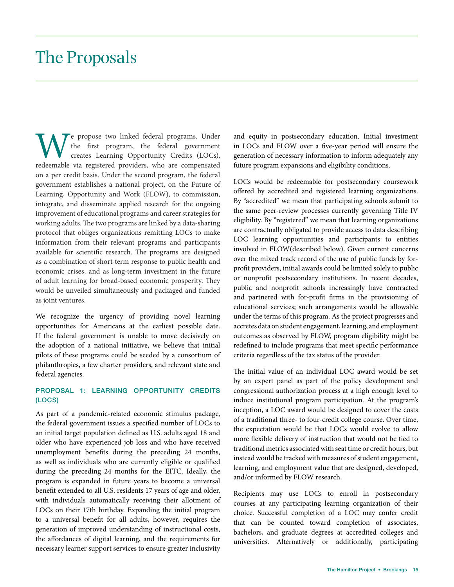### The Proposals

Te propose two linked federal programs. Under the first program, the federal government creates Learning Opportunity Credits (LOCs), redeemable via registered providers, who are compensated on a per credit basis. Under the second program, the federal government establishes a national project, on the Future of Learning, Opportunity and Work (FLOW), to commission, integrate, and disseminate applied research for the ongoing improvement of educational programs and career strategies for working adults. The two programs are linked by a data-sharing protocol that obliges organizations remitting LOCs to make information from their relevant programs and participants available for scientific research. The programs are designed as a combination of short-term response to public health and economic crises, and as long-term investment in the future of adult learning for broad-based economic prosperity. They would be unveiled simultaneously and packaged and funded as joint ventures.

We recognize the urgency of providing novel learning opportunities for Americans at the earliest possible date. If the federal government is unable to move decisively on the adoption of a national initiative, we believe that initial pilots of these programs could be seeded by a consortium of philanthropies, a few charter providers, and relevant state and federal agencies.

#### PROPOSAL 1: LEARNING OPPORTUNITY CREDITS (LOCS)

As part of a pandemic-related economic stimulus package, the federal government issues a specified number of LOCs to an initial target population defined as U.S. adults aged 18 and older who have experienced job loss and who have received unemployment benefits during the preceding 24 months, as well as individuals who are currently eligible or qualified during the preceding 24 months for the EITC. Ideally, the program is expanded in future years to become a universal benefit extended to all U.S. residents 17 years of age and older, with individuals automatically receiving their allotment of LOCs on their 17th birthday. Expanding the initial program to a universal benefit for all adults, however, requires the generation of improved understanding of instructional costs, the affordances of digital learning, and the requirements for necessary learner support services to ensure greater inclusivity

and equity in postsecondary education. Initial investment in LOCs and FLOW over a five-year period will ensure the generation of necessary information to inform adequately any future program expansions and eligibility conditions.

LOCs would be redeemable for postsecondary coursework offered by accredited and registered learning organizations. By "accredited" we mean that participating schools submit to the same peer-review processes currently governing Title IV eligibility. By "registered" we mean that learning organizations are contractually obligated to provide access to data describing LOC learning opportunities and participants to entities involved in FLOW(described below). Given current concerns over the mixed track record of the use of public funds by forprofit providers, initial awards could be limited solely to public or nonprofit postsecondary institutions. In recent decades, public and nonprofit schools increasingly have contracted and partnered with for-profit firms in the provisioning of educational services; such arrangements would be allowable under the terms of this program. As the project progresses and accretes data on student engagement, learning, and employment outcomes as observed by FLOW, program eligibility might be redefined to include programs that meet specific performance criteria regardless of the tax status of the provider.

The initial value of an individual LOC award would be set by an expert panel as part of the policy development and congressional authorization process at a high enough level to induce institutional program participation. At the program's inception, a LOC award would be designed to cover the costs of a traditional three- to four-credit college course. Over time, the expectation would be that LOCs would evolve to allow more flexible delivery of instruction that would not be tied to traditional metrics associated with seat time or credit hours, but instead would be tracked with measures of student engagement, learning, and employment value that are designed, developed, and/or informed by FLOW research.

Recipients may use LOCs to enroll in postsecondary courses at any participating learning organization of their choice. Successful completion of a LOC may confer credit that can be counted toward completion of associates, bachelors, and graduate degrees at accredited colleges and universities. Alternatively or additionally, participating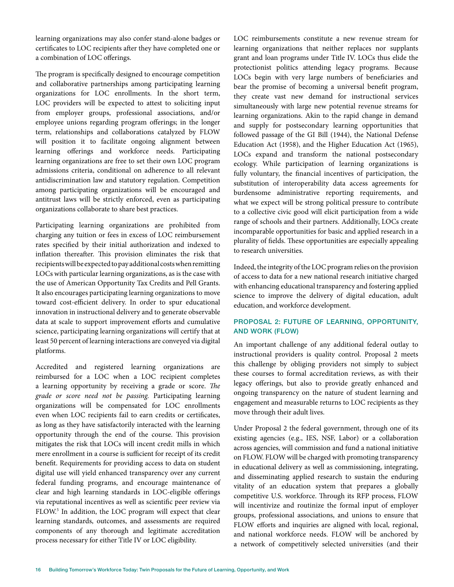learning organizations may also confer stand-alone badges or certificates to LOC recipients after they have completed one or a combination of LOC offerings.

The program is specifically designed to encourage competition and collaborative partnerships among participating learning organizations for LOC enrollments. In the short term, LOC providers will be expected to attest to soliciting input from employer groups, professional associations, and/or employee unions regarding program offerings; in the longer term, relationships and collaborations catalyzed by FLOW will position it to facilitate ongoing alignment between learning offerings and workforce needs. Participating learning organizations are free to set their own LOC program admissions criteria, conditional on adherence to all relevant antidiscrimination law and statutory regulation. Competition among participating organizations will be encouraged and antitrust laws will be strictly enforced, even as participating organizations collaborate to share best practices.

Participating learning organizations are prohibited from charging any tuition or fees in excess of LOC reimbursement rates specified by their initial authorization and indexed to inflation thereafter. This provision eliminates the risk that recipients will be expected to pay additional costs when remitting LOCs with particular learning organizations, as is the case with the use of American Opportunity Tax Credits and Pell Grants. It also encourages participating learning organizations to move toward cost-efficient delivery. In order to spur educational innovation in instructional delivery and to generate observable data at scale to support improvement efforts and cumulative science, participating learning organizations will certify that at least 50 percent of learning interactions are conveyed via digital platforms.

Accredited and registered learning organizations are reimbursed for a LOC when a LOC recipient completes a learning opportunity by receiving a grade or score. *The grade or score need not be passing.* Participating learning organizations will be compensated for LOC enrollments even when LOC recipients fail to earn credits or certificates, as long as they have satisfactorily interacted with the learning opportunity through the end of the course. This provision mitigates the risk that LOCs will incent credit mills in which mere enrollment in a course is sufficient for receipt of its credit benefit. Requirements for providing access to data on student digital use will yield enhanced transparency over any current federal funding programs, and encourage maintenance of clear and high learning standards in LOC-eligible offerings via reputational incentives as well as scientific peer review via FLOW.<sup>5</sup> In addition, the LOC program will expect that clear learning standards, outcomes, and assessments are required components of any thorough and legitimate accreditation process necessary for either Title IV or LOC eligibility.

LOC reimbursements constitute a new revenue stream for learning organizations that neither replaces nor supplants grant and loan programs under Title IV. LOCs thus elide the protectionist politics attending legacy programs. Because LOCs begin with very large numbers of beneficiaries and bear the promise of becoming a universal benefit program, they create vast new demand for instructional services simultaneously with large new potential revenue streams for learning organizations. Akin to the rapid change in demand and supply for postsecondary learning opportunities that followed passage of the GI Bill (1944), the National Defense Education Act (1958), and the Higher Education Act (1965), LOCs expand and transform the national postsecondary ecology. While participation of learning organizations is fully voluntary, the financial incentives of participation, the substitution of interoperability data access agreements for burdensome administrative reporting requirements, and what we expect will be strong political pressure to contribute to a collective civic good will elicit participation from a wide range of schools and their partners. Additionally, LOCs create incomparable opportunities for basic and applied research in a plurality of fields. These opportunities are especially appealing to research universities.

Indeed, the integrity of the LOC program relies on the provision of access to data for a new national research initiative charged with enhancing educational transparency and fostering applied science to improve the delivery of digital education, adult education, and workforce development.

#### PROPOSAL 2: FUTURE OF LEARNING, OPPORTUNITY, AND WORK (FLOW)

An important challenge of any additional federal outlay to instructional providers is quality control. Proposal 2 meets this challenge by obliging providers not simply to subject these courses to formal accreditation reviews, as with their legacy offerings, but also to provide greatly enhanced and ongoing transparency on the nature of student learning and engagement and measurable returns to LOC recipients as they move through their adult lives.

Under Proposal 2 the federal government, through one of its existing agencies (e.g., IES, NSF, Labor) or a collaboration across agencies, will commission and fund a national initiative on FLOW. FLOW will be charged with promoting transparency in educational delivery as well as commissioning, integrating, and disseminating applied research to sustain the enduring vitality of an education system that prepares a globally competitive U.S. workforce. Through its RFP process, FLOW will incentivize and routinize the formal input of employer groups, professional associations, and unions to ensure that FLOW efforts and inquiries are aligned with local, regional, and national workforce needs. FLOW will be anchored by a network of competitively selected universities (and their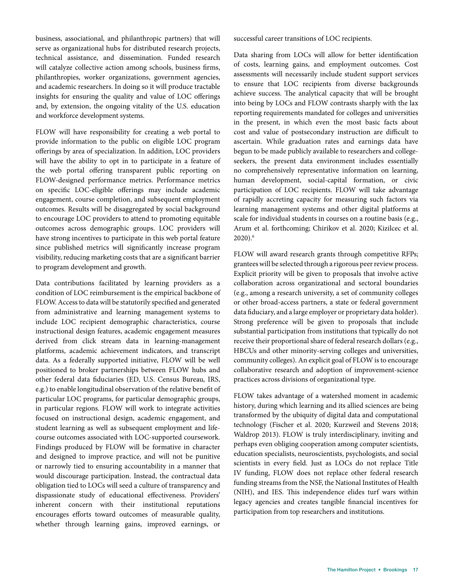business, associational, and philanthropic partners) that will serve as organizational hubs for distributed research projects, technical assistance, and dissemination. Funded research will catalyze collective action among schools, business firms, philanthropies, worker organizations, government agencies, and academic researchers. In doing so it will produce tractable insights for ensuring the quality and value of LOC offerings and, by extension, the ongoing vitality of the U.S. education and workforce development systems.

FLOW will have responsibility for creating a web portal to provide information to the public on eligible LOC program offerings by area of specialization. In addition, LOC providers will have the ability to opt in to participate in a feature of the web portal offering transparent public reporting on FLOW-designed performance metrics. Performance metrics on specific LOC-eligible offerings may include academic engagement, course completion, and subsequent employment outcomes. Results will be disaggregated by social background to encourage LOC providers to attend to promoting equitable outcomes across demographic groups. LOC providers will have strong incentives to participate in this web portal feature since published metrics will significantly increase program visibility, reducing marketing costs that are a significant barrier to program development and growth.

Data contributions facilitated by learning providers as a condition of LOC reimbursement is the empirical backbone of FLOW. Access to data will be statutorily specified and generated from administrative and learning management systems to include LOC recipient demographic characteristics, course instructional design features, academic engagement measures derived from click stream data in learning-management platforms, academic achievement indicators, and transcript data. As a federally supported initiative, FLOW will be well positioned to broker partnerships between FLOW hubs and other federal data fiduciaries (ED, U.S. Census Bureau, IRS, e.g.) to enable longitudinal observation of the relative benefit of particular LOC programs, for particular demographic groups, in particular regions. FLOW will work to integrate activities focused on instructional design, academic engagement, and student learning as well as subsequent employment and lifecourse outcomes associated with LOC-supported coursework. Findings produced by FLOW will be formative in character and designed to improve practice, and will not be punitive or narrowly tied to ensuring accountability in a manner that would discourage participation. Instead, the contractual data obligation tied to LOCs will seed a culture of transparency and dispassionate study of educational effectiveness. Providers' inherent concern with their institutional reputations encourages efforts toward outcomes of measurable quality, whether through learning gains, improved earnings, or

successful career transitions of LOC recipients.

Data sharing from LOCs will allow for better identification of costs, learning gains, and employment outcomes. Cost assessments will necessarily include student support services to ensure that LOC recipients from diverse backgrounds achieve success. The analytical capacity that will be brought into being by LOCs and FLOW contrasts sharply with the lax reporting requirements mandated for colleges and universities in the present, in which even the most basic facts about cost and value of postsecondary instruction are difficult to ascertain. While graduation rates and earnings data have begun to be made publicly available to researchers and collegeseekers, the present data environment includes essentially no comprehensively representative information on learning, human development, social-capital formation, or civic participation of LOC recipients. FLOW will take advantage of rapidly accreting capacity for measuring such factors via learning management systems and other digital platforms at scale for individual students in courses on a routine basis (e.g., Arum et al. forthcoming; Chirikov et al. 2020; Kizilcec et al. 2020).6

FLOW will award research grants through competitive RFPs; grantees will be selected through a rigorous peer review process. Explicit priority will be given to proposals that involve active collaboration across organizational and sectoral boundaries (e.g., among a research university, a set of community colleges or other broad-access partners, a state or federal government data fiduciary, and a large employer or proprietary data holder). Strong preference will be given to proposals that include substantial participation from institutions that typically do not receive their proportional share of federal research dollars (e.g., HBCUs and other minority-serving colleges and universities, community colleges). An explicit goal of FLOW is to encourage collaborative research and adoption of improvement-science practices across divisions of organizational type.

FLOW takes advantage of a watershed moment in academic history, during which learning and its allied sciences are being transformed by the ubiquity of digital data and computational technology (Fischer et al. 2020; Kurzweil and Stevens 2018; Waldrop 2013). FLOW is truly interdisciplinary, inviting and perhaps even obliging cooperation among computer scientists, education specialists, neuroscientists, psychologists, and social scientists in every field. Just as LOCs do not replace Title IV funding, FLOW does not replace other federal research funding streams from the NSF, the National Institutes of Health (NIH), and IES. This independence elides turf wars within legacy agencies and creates tangible financial incentives for participation from top researchers and institutions.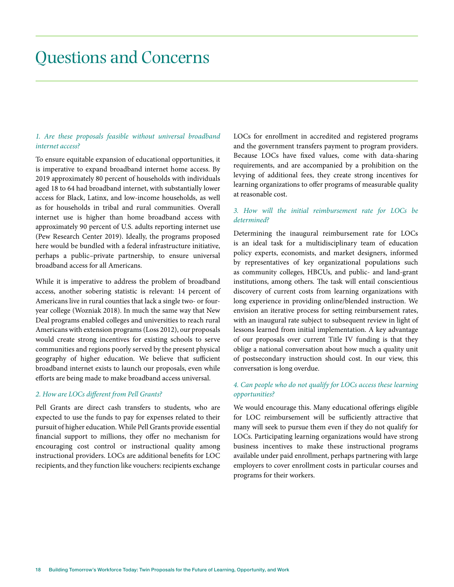### Questions and Concerns

#### *1. Are these proposals feasible without universal broadband internet access?*

To ensure equitable expansion of educational opportunities, it is imperative to expand broadband internet home access. By 2019 approximately 80 percent of households with individuals aged 18 to 64 had broadband internet, with substantially lower access for Black, Latinx, and low-income households, as well as for households in tribal and rural communities. Overall internet use is higher than home broadband access with approximately 90 percent of U.S. adults reporting internet use (Pew Research Center 2019). Ideally, the programs proposed here would be bundled with a federal infrastructure initiative, perhaps a public–private partnership, to ensure universal broadband access for all Americans.

While it is imperative to address the problem of broadband access, another sobering statistic is relevant: 14 percent of Americans live in rural counties that lack a single two- or fouryear college (Wozniak 2018). In much the same way that New Deal programs enabled colleges and universities to reach rural Americans with extension programs (Loss 2012), our proposals would create strong incentives for existing schools to serve communities and regions poorly served by the present physical geography of higher education. We believe that sufficient broadband internet exists to launch our proposals, even while efforts are being made to make broadband access universal.

#### *2. How are LOCs different from Pell Grants?*

Pell Grants are direct cash transfers to students, who are expected to use the funds to pay for expenses related to their pursuit of higher education. While Pell Grants provide essential financial support to millions, they offer no mechanism for encouraging cost control or instructional quality among instructional providers. LOCs are additional benefits for LOC recipients, and they function like vouchers: recipients exchange

LOCs for enrollment in accredited and registered programs and the government transfers payment to program providers. Because LOCs have fixed values, come with data-sharing requirements, and are accompanied by a prohibition on the levying of additional fees, they create strong incentives for learning organizations to offer programs of measurable quality at reasonable cost.

#### *3. How will the initial reimbursement rate for LOCs be determined?*

Determining the inaugural reimbursement rate for LOCs is an ideal task for a multidisciplinary team of education policy experts, economists, and market designers, informed by representatives of key organizational populations such as community colleges, HBCUs, and public- and land-grant institutions, among others. The task will entail conscientious discovery of current costs from learning organizations with long experience in providing online/blended instruction. We envision an iterative process for setting reimbursement rates, with an inaugural rate subject to subsequent review in light of lessons learned from initial implementation. A key advantage of our proposals over current Title IV funding is that they oblige a national conversation about how much a quality unit of postsecondary instruction should cost. In our view, this conversation is long overdue.

#### *4. Can people who do not qualify for LOCs access these learning opportunities?*

We would encourage this. Many educational offerings eligible for LOC reimbursement will be sufficiently attractive that many will seek to pursue them even if they do not qualify for LOCs. Participating learning organizations would have strong business incentives to make these instructional programs available under paid enrollment, perhaps partnering with large employers to cover enrollment costs in particular courses and programs for their workers.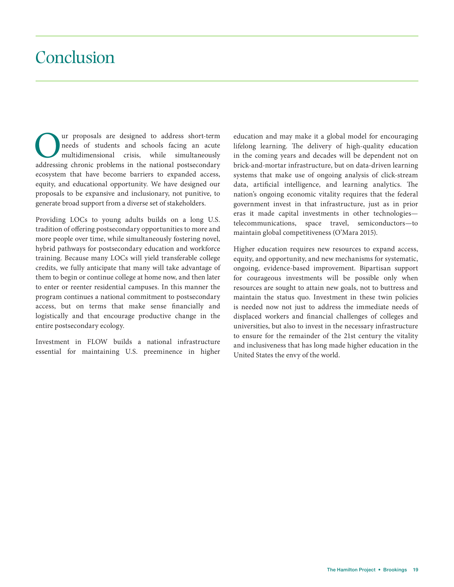### Conclusion

The proposals are designed to address short-term<br>needs of students and schools facing an acute<br>multidimensional crisis, while simultaneously<br>addressing chronic problems in the national postsecondary needs of students and schools facing an acute multidimensional crisis, while simultaneously addressing chronic problems in the national postsecondary ecosystem that have become barriers to expanded access, equity, and educational opportunity. We have designed our proposals to be expansive and inclusionary, not punitive, to generate broad support from a diverse set of stakeholders.

Providing LOCs to young adults builds on a long U.S. tradition of offering postsecondary opportunities to more and more people over time, while simultaneously fostering novel, hybrid pathways for postsecondary education and workforce training. Because many LOCs will yield transferable college credits, we fully anticipate that many will take advantage of them to begin or continue college at home now, and then later to enter or reenter residential campuses. In this manner the program continues a national commitment to postsecondary access, but on terms that make sense financially and logistically and that encourage productive change in the entire postsecondary ecology.

Investment in FLOW builds a national infrastructure essential for maintaining U.S. preeminence in higher education and may make it a global model for encouraging lifelong learning. The delivery of high-quality education in the coming years and decades will be dependent not on brick-and-mortar infrastructure, but on data-driven learning systems that make use of ongoing analysis of click-stream data, artificial intelligence, and learning analytics. The nation's ongoing economic vitality requires that the federal government invest in that infrastructure, just as in prior eras it made capital investments in other technologies telecommunications, space travel, semiconductors—to maintain global competitiveness (O'Mara 2015).

Higher education requires new resources to expand access, equity, and opportunity, and new mechanisms for systematic, ongoing, evidence-based improvement. Bipartisan support for courageous investments will be possible only when resources are sought to attain new goals, not to buttress and maintain the status quo. Investment in these twin policies is needed now not just to address the immediate needs of displaced workers and financial challenges of colleges and universities, but also to invest in the necessary infrastructure to ensure for the remainder of the 21st century the vitality and inclusiveness that has long made higher education in the United States the envy of the world.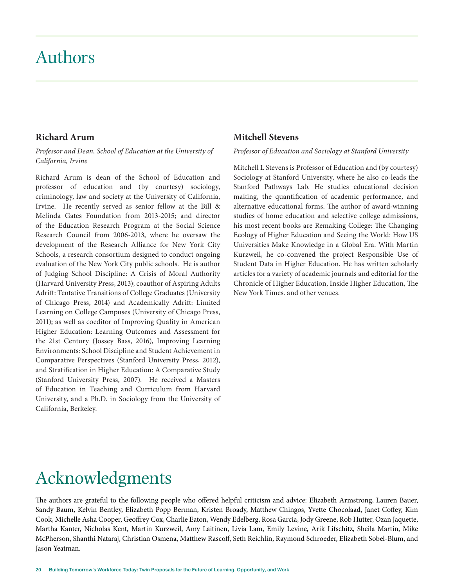### Authors

#### **Richard Arum**

*Professor and Dean, School of Education at the University of California, Irvine*

Richard Arum is dean of the School of Education and professor of education and (by courtesy) sociology, criminology, law and society at the University of California, Irvine. He recently served as senior fellow at the Bill & Melinda Gates Foundation from 2013-2015; and director of the Education Research Program at the Social Science Research Council from 2006-2013, where he oversaw the development of the Research Alliance for New York City Schools, a research consortium designed to conduct ongoing evaluation of the New York City public schools. He is author of Judging School Discipline: A Crisis of Moral Authority (Harvard University Press, 2013); coauthor of Aspiring Adults Adrift: Tentative Transitions of College Graduates (University of Chicago Press, 2014) and Academically Adrift: Limited Learning on College Campuses (University of Chicago Press, 2011); as well as coeditor of Improving Quality in American Higher Education: Learning Outcomes and Assessment for the 21st Century (Jossey Bass, 2016), Improving Learning Environments: School Discipline and Student Achievement in Comparative Perspectives (Stanford University Press, 2012), and Stratification in Higher Education: A Comparative Study (Stanford University Press, 2007). He received a Masters of Education in Teaching and Curriculum from Harvard University, and a Ph.D. in Sociology from the University of California, Berkeley.

#### **Mitchell Stevens**

*Professor of Education and Sociology at Stanford University*

Mitchell L Stevens is Professor of Education and (by courtesy) Sociology at Stanford University, where he also co-leads the Stanford Pathways Lab. He studies educational decision making, the quantification of academic performance, and alternative educational forms. The author of award-winning studies of home education and selective college admissions, his most recent books are Remaking College: The Changing Ecology of Higher Education and Seeing the World: How US Universities Make Knowledge in a Global Era. With Martin Kurzweil, he co-convened the project Responsible Use of Student Data in Higher Education. He has written scholarly articles for a variety of academic journals and editorial for the Chronicle of Higher Education, Inside Higher Education, The New York Times. and other venues.

## Acknowledgments

The authors are grateful to the following people who offered helpful criticism and advice: Elizabeth Armstrong, Lauren Bauer, Sandy Baum, Kelvin Bentley, Elizabeth Popp Berman, Kristen Broady, Matthew Chingos, Yvette Chocolaad, Janet Coffey, Kim Cook, Michelle Asha Cooper, Geoffrey Cox, Charlie Eaton, Wendy Edelberg, Rosa Garcia, Jody Greene, Rob Hutter, Ozan Jaquette, Martha Kanter, Nicholas Kent, Martin Kurzweil, Amy Laitinen, Livia Lam, Emily Levine, Arik Lifschitz, Sheila Martin, Mike McPherson, Shanthi Nataraj, Christian Osmena, Matthew Rascoff, Seth Reichlin, Raymond Schroeder, Elizabeth Sobel-Blum, and Jason Yeatman.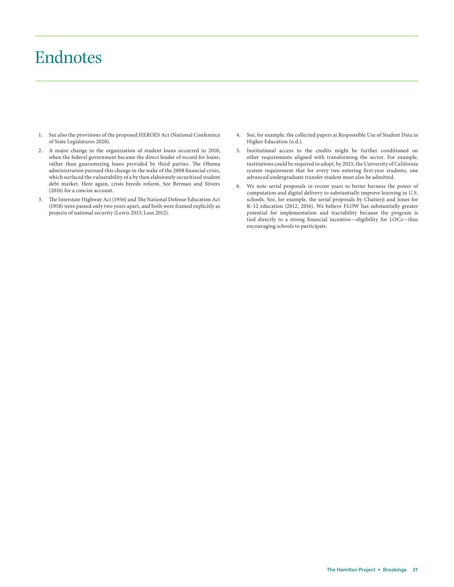### Endnotes

- 1. See also the provisions of the proposed HEROES Act (National Conference of State Legislatures 2020).
- 2. A major change in the organization of student loans occurred in 2010, when the federal government became the direct lender of record for loans, rather than guaranteeing loans provided by third parties. The Obama administration pursued this change in the wake of the 2008 financial crisis, which surfaced the vulnerability of a by then elaborately securitized student debt market. Here again, crisis breeds reform. See Berman and Stivers (2016) for a concise account.
- 3. The Interstate Highway Act (1956) and The National Defense Education Act (1958) were passed only two years apart, and both were framed explicitly as projects of national security (Lewis 2013; Loss 2012).
- 4. See, for example, the collected papers at Responsible Use of Student Data in Higher Education (n.d.).
- 5. Institutional access to the credits might be further conditioned on other requirements aligned with transforming the sector. For example, institutions could be required to adopt, by 2025, the University of California system requirement that for every two entering first-year students, one advanced undergraduate transfer student must also be admitted.
- 6. We note serial proposals in recent years to better harness the power of computation and digital delivery to substantially improve learning in U.S. schools. See, for example, the serial proposals by Chatterji and Jones for K–12 education (2012, 2016). We believe FLOW has substantially greater potential for implementation and tractability because the program is tied directly to a strong financial incentive—eligibility for LOCs—thus encouraging schools to participate.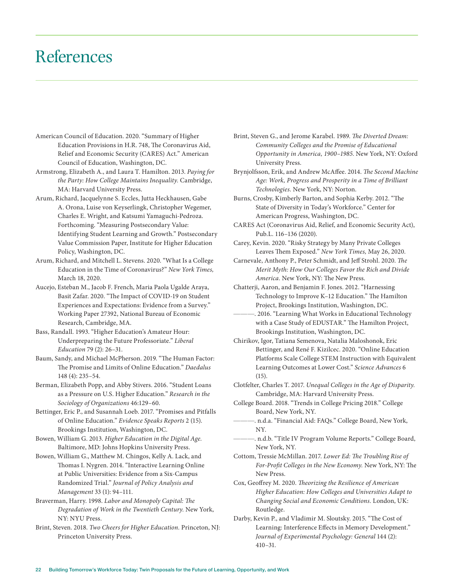### References

- American Council of Education. 2020. "Summary of Higher Education Provisions in H.R. 748, The Coronavirus Aid, Relief and Economic Security (CARES) Act." American Council of Education, Washington, DC.
- Armstrong, Elizabeth A., and Laura T. Hamilton. 2013. *Paying for the Party: How College Maintains Inequality.* Cambridge, MA: Harvard University Press.
- Arum, Richard, Jacquelynne S. Eccles, Jutta Heckhausen, Gabe A. Orona, Luise von Keyserlingk, Christopher Wegemer, Charles E. Wright, and Katsumi Yamaguchi-Pedroza. Forthcoming. "Measuring Postsecondary Value: Identifying Student Learning and Growth." Postsecondary Value Commission Paper, Institute for Higher Education Policy, Washington, DC.
- Arum, Richard, and Mitchell L. Stevens. 2020. "What Is a College Education in the Time of Coronavirus?" *New York Times,* March 18, 2020.
- Aucejo, Esteban M., Jacob F. French, Maria Paola Ugalde Araya, Basit Zafar. 2020. "The Impact of COVID-19 on Student Experiences and Expectations: Evidence from a Survey." Working Paper 27392, National Bureau of Economic Research, Cambridge, MA.
- Bass, Randall. 1993. "Higher Education's Amateur Hour: Underpreparing the Future Professoriate." *Liberal Education* 79 (2): 26–31.
- Baum, Sandy, and Michael McPherson. 2019. "The Human Factor: The Promise and Limits of Online Education." *Daedalus* 148 (4): 235–54.
- Berman, Elizabeth Popp, and Abby Stivers. 2016. "Student Loans as a Pressure on U.S. Higher Education." *Research in the Sociology of Organizations* 46:129–60.
- Bettinger, Eric P., and Susannah Loeb. 2017. "Promises and Pitfalls of Online Education." *Evidence Speaks Reports* 2 (15). Brookings Institution, Washington, DC.
- Bowen, William G. 2013. *Higher Education in the Digital Age.* Baltimore, MD: Johns Hopkins University Press.
- Bowen, William G., Matthew M. Chingos, Kelly A. Lack, and Thomas I. Nygren. 2014. "Interactive Learning Online at Public Universities: Evidence from a Six-Campus Randomized Trial." *Journal of Policy Analysis and Management* 33 (1): 94–111.
- Braverman, Harry. 1998. *Labor and Monopoly Capital: The Degradation of Work in the Twentieth Century.* New York, NY: NYU Press.
- Brint, Steven. 2018. *Two Cheers for Higher Education.* Princeton, NJ: Princeton University Press.
- Brint, Steven G., and Jerome Karabel. 1989. *The Diverted Dream: Community Colleges and the Promise of Educational Opportunity in America, 1900–1985.* New York, NY: Oxford University Press.
- Brynjolfsson, Erik, and Andrew McAffee. 2014. *The Second Machine Age: Work, Progress and Prosperity in a Time of Brilliant Technologies.* New York, NY: Norton.
- Burns, Crosby, Kimberly Barton, and Sophia Kerby. 2012. "The State of Diversity in Today's Workforce." Center for American Progress, Washington, DC.
- CARES Act (Coronavirus Aid, Relief, and Economic Security Act), Pub.L. 116–136 (2020).
- Carey, Kevin. 2020. "Risky Strategy by Many Private Colleges Leaves Them Exposed." *New York Times,* May 26, 2020.
- Carnevale, Anthony P., Peter Schmidt, and Jeff Strohl. 2020. *The Merit Myth: How Our Colleges Favor the Rich and Divide America.* New York, NY: The New Press.
- Chatterji, Aaron, and Benjamin F. Jones. 2012. "Harnessing Technology to Improve K–12 Education." The Hamilton Project, Brookings Institution, Washington, DC.
- ———. 2016. "Learning What Works in Educational Technology with a Case Study of EDUSTAR." The Hamilton Project, Brookings Institution, Washington, DC.
- Chirikov, Igor, Tatiana Semenova, Natalia Maloshonok, Eric Bettinger, and René F. Kizilcec. 2020. "Online Education Platforms Scale College STEM Instruction with Equivalent Learning Outcomes at Lower Cost." *Science Advances* 6 (15).
- Clotfelter, Charles T. 2017. *Unequal Colleges in the Age of Disparity.* Cambridge, MA: Harvard University Press.
- College Board. 2018. "Trends in College Pricing 2018." College Board, New York, NY.
- ———. n.d.a. "Financial Aid: FAQs." College Board, New York, NY.
- ———. n.d.b. "Title IV Program Volume Reports." College Board, New York, NY.
- Cottom, Tressie McMillan. 2017. *Lower Ed: The Troubling Rise of For-Profit Colleges in the New Economy.* New York, NY: The New Press.
- Cox, Geoffrey M. 2020. *Theorizing the Resilience of American Higher Education: How Colleges and Universities Adapt to Changing Social and Economic Conditions.* London, UK: Routledge.
- Darby, Kevin P., and Vladimir M. Sloutsky. 2015. "The Cost of Learning: Interference Effects in Memory Development." *Journal of Experimental Psychology: General* 144 (2): 410–31.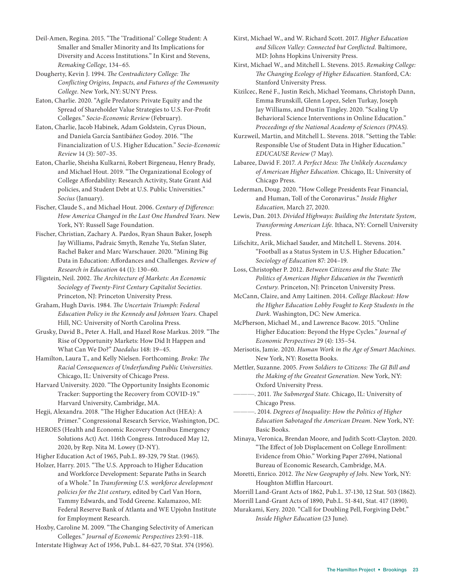Deil-Amen, Regina. 2015. "The 'Traditional' College Student: A Smaller and Smaller Minority and Its Implications for Diversity and Access Institutions." In Kirst and Stevens, *Remaking College,* 134–65*.*

Dougherty, Kevin J. 1994. *The Contradictory College: The Conflicting Origins, Impacts, and Futures of the Community College.* New York, NY: SUNY Press.

Eaton, Charlie. 2020. "Agile Predators: Private Equity and the Spread of Shareholder Value Strategies to U.S. For-Profit Colleges." *Socio-Economic Review* (February).

Eaton, Charlie, Jacob Habinek, Adam Goldstein, Cyrus Dioun, and Daniela García Santibáñez Godoy. 2016. "The Financialization of U.S. Higher Education." *Socio-Economic Review* 14 (3): 507–35.

Eaton, Charlie, Sheisha Kulkarni, Robert Birgeneau, Henry Brady, and Michael Hout. 2019. "The Organizational Ecology of College Affordability: Research Activity, State Grant Aid policies, and Student Debt at U.S. Public Universities." *Socius* (January).

Fischer, Claude S., and Michael Hout. 2006. *Century of Difference: How America Changed in the Last One Hundred Years.* New York, NY: Russell Sage Foundation.

Fischer, Christian, Zachary A. Pardos, Ryan Shaun Baker, Joseph Jay Williams, Padraic Smyth, Renzhe Yu, Stefan Slater, Rachel Baker and Marc Warschauer. 2020. "Mining Big Data in Education: Affordances and Challenges. *Review of Research in Education* 44 (1): 130–60.

Fligstein, Neil. 2002. *The Architecture of Markets: An Economic Sociology of Twenty-First Century Capitalist Societies.* Princeton, NJ: Princeton University Press.

Graham, Hugh Davis. 1984. *The Uncertain Triumph: Federal Education Policy in the Kennedy and Johnson Years.* Chapel Hill, NC: University of North Carolina Press.

Grusky, David B., Peter A. Hall, and Hazel Rose Markus. 2019. "The Rise of Opportunity Markets: How Did It Happen and What Can We Do?" *Daedalus* 148: 19–45.

Hamilton, Laura T., and Kelly Nielsen. Forthcoming. *Broke: The Racial Consequences of Underfunding Public Universities.* Chicago, IL: University of Chicago Press.

Harvard University. 2020. "The Opportunity Insights Economic Tracker: Supporting the Recovery from COVID-19." Harvard University, Cambridge, MA.

Hegji, Alexandra. 2018. "The Higher Education Act (HEA): A Primer." Congressional Research Service, Washington, DC.

HEROES (Health and Economic Recovery Omnibus Emergency Solutions Act) Act. 116th Congress. Introduced May 12, 2020, by Rep. Nita M. Lowey (D-NY).

Higher Education Act of 1965, Pub.L. 89-329, 79 Stat. (1965).

Holzer, Harry. 2015. "The U.S. Approach to Higher Education and Workforce Development: Separate Paths in Search of a Whole." In *Transforming U.S. workforce development policies for the 21st century,* edited by Carl Van Horn, Tammy Edwards, and Todd Greene. Kalamazoo, MI: Federal Reserve Bank of Atlanta and WE Upjohn Institute for Employment Research.

Hoxby, Caroline M. 2009. "The Changing Selectivity of American Colleges." *Journal of Economic Perspectives* 23:91–118.

Interstate Highway Act of 1956, Pub.L. 84-627, 70 Stat. 374 (1956).

Kirst, Michael W., and W. Richard Scott. 2017. *Higher Education and Silicon Valley: Connected but Conflicted.* Baltimore, MD: Johns Hopkins University Press.

Kirst, Michael W., and Mitchell L. Stevens. 2015. *Remaking College: The Changing Ecology of Higher Education.* Stanford, CA: Stanford University Press.

Kizilcec, René F., Justin Reich, Michael Yeomans, Christoph Dann, Emma Brunskill, Glenn Lopez, Selen Turkay, Joseph Jay Williams, and Dustin Tingley. 2020. "Scaling Up Behavioral Science Interventions in Online Education." *Proceedings of the National Academy of Sciences (PNAS).*

Kurzweil, Martin, and Mitchell L. Stevens. 2018. "Setting the Table: Responsible Use of Student Data in Higher Education." *EDUCAUSE Review* (7 May).

Labaree, David F. 2017. *A Perfect Mess: The Unlikely Ascendancy of American Higher Education.* Chicago, IL: University of Chicago Press.

Lederman, Doug. 2020. "How College Presidents Fear Financial, and Human, Toll of the Coronavirus." *Inside Higher Education,* March 27, 2020.

Lewis, Dan. 2013. *Divided Highways: Building the Interstate System, Transforming American Life.* Ithaca, NY: Cornell University Press.

Lifschitz, Arik, Michael Sauder, and Mitchell L. Stevens. 2014. "Football as a Status System in U.S. Higher Education." *Sociology of Education* 87: 204–19.

Loss, Christopher P. 2012. *Between Citizens and the State: The Politics of American Higher Education in the Twentieth Century.* Princeton, NJ: Princeton University Press.

McCann, Claire, and Amy Laitinen. 2014. *College Blackout: How the Higher Education Lobby Fought to Keep Students in the Dark.* Washington, DC: New America.

McPherson, Michael M., and Lawrence Bacow. 2015. "Online Higher Education: Beyond the Hype Cycles." *Journal of Economic Perspectives* 29 (4): 135–54.

Merisotis, Jamie. 2020. *Human Work in the Age of Smart Machines.* New York, NY: Rosetta Books.

Mettler, Suzanne. 2005. *From Soldiers to Citizens: The GI Bill and the Making of the Greatest Generation.* New York, NY: Oxford University Press.

———. 2011. *The Submerged State.* Chicago, IL: University of Chicago Press.

———. 2014. *Degrees of Inequality: How the Politics of Higher Education Sabotaged the American Dream.* New York, NY: Basic Books.

Minaya, Veronica, Brendan Moore, and Judith Scott-Clayton. 2020. "The Effect of Job Displacement on College Enrollment: Evidence from Ohio." Working Paper 27694, National Bureau of Economic Research, Cambridge, MA.

Moretti, Enrico. 2012. *The New Geography of Jobs.* New York, NY: Houghton Mifflin Harcourt.

Morrill Land-Grant Acts of 1862, Pub.L. 37-130, 12 Stat. 503 (1862).

Morrill Land-Grant Acts of 1890, Pub.L. 51-841, Stat. 417 (1890).

Murakami, Kery. 2020. "Call for Doubling Pell, Forgiving Debt." *Inside Higher Education* (23 June).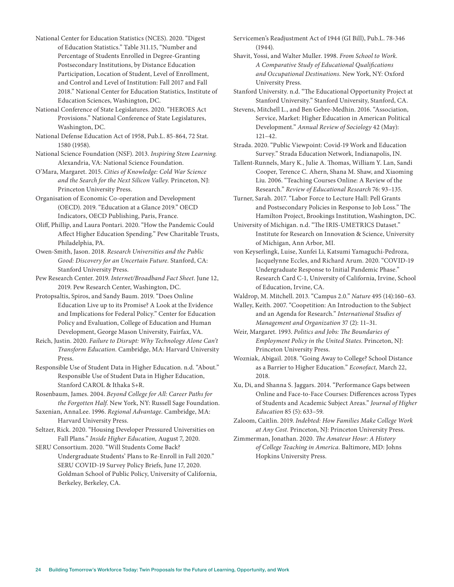National Center for Education Statistics (NCES). 2020. "Digest of Education Statistics." Table 311.15, "Number and Percentage of Students Enrolled in Degree-Granting Postsecondary Institutions, by Distance Education Participation, Location of Student, Level of Enrollment, and Control and Level of Institution: Fall 2017 and Fall 2018." National Center for Education Statistics, Institute of Education Sciences, Washington, DC.

National Conference of State Legislatures. 2020. "HEROES Act Provisions." National Conference of State Legislatures, Washington, DC.

National Defense Education Act of 1958, Pub.L. 85-864, 72 Stat. 1580 (1958).

National Science Foundation (NSF). 2013. *Inspiring Stem Learning.* Alexandria, VA: National Science Foundation.

O'Mara, Margaret. 2015. *Cities of Knowledge: Cold War Science and the Search for the Next Silicon Valley.* Princeton, NJ: Princeton University Press.

Organisation of Economic Co-operation and Development (OECD). 2019. "Education at a Glance 2019." OECD Indicators, OECD Publishing, Paris, France.

Oliff, Phillip, and Laura Pontari. 2020. "How the Pandemic Could Affect Higher Education Spending." Pew Charitable Trusts, Philadelphia, PA.

Owen-Smith, Jason. 2018. *Research Universities and the Public Good: Discovery for an Uncertain Future.* Stanford, CA: Stanford University Press.

Pew Research Center. 2019. *Internet/Broadband Fact Sheet*. June 12, 2019. Pew Research Center, Washington, DC.

Protopsaltis, Spiros, and Sandy Baum. 2019. "Does Online Education Live up to its Promise? A Look at the Evidence and Implications for Federal Policy." Center for Education Policy and Evaluation, College of Education and Human Development, George Mason University, Fairfax, VA.

Reich, Justin. 2020. *Failure to Disrupt: Why Technology Alone Can't Transform Education.* Cambridge, MA: Harvard University Press.

Responsible Use of Student Data in Higher Education. n.d. "About." Responsible Use of Student Data in Higher Education, Stanford CAROL & Ithaka S+R.

Rosenbaum, James. 2004. *Beyond College for All: Career Paths for the Forgotten Half.* New York, NY: Russell Sage Foundation.

Saxenian, AnnaLee. 1996. *Regional Advantage.* Cambridge, MA: Harvard University Press.

Seltzer, Rick. 2020. "Housing Developer Pressured Universities on Fall Plans." *Inside Higher Education,* August 7, 2020.

SERU Consortium. 2020. "Will Students Come Back? Undergraduate Students' Plans to Re-Enroll in Fall 2020." SERU COVID-19 Survey Policy Briefs, June 17, 2020. Goldman School of Public Policy, University of California, Berkeley, Berkeley, CA.

Servicemen's Readjustment Act of 1944 (GI Bill), Pub.L. 78-346 (1944).

Shavit, Yossi, and Walter Muller. 1998. *From School to Work. A Comparative Study of Educational Qualifications and Occupational Destinations.* New York, NY: Oxford University Press.

Stanford University. n.d. "The Educational Opportunity Project at Stanford University." Stanford University, Stanford, CA.

Stevens, Mitchell L., and Ben Gebre-Medhin. 2016. "Association, Service, Market: Higher Education in American Political Development." *Annual Review of Sociology* 42 (May): 121–42.

Strada. 2020. "Public Viewpoint: Covid-19 Work and Education Survey." Strada Education Network, Indianapolis, IN.

Tallent-Runnels, Mary K., Julie A. Thomas, William Y. Lan, Sandi Cooper, Terence C. Ahern, Shana M. Shaw, and Xiaoming Liu. 2006. "Teaching Courses Online: A Review of the Research." *Review of Educational Research* 76: 93–135.

Turner, Sarah. 2017. "Labor Force to Lecture Hall: Pell Grants and Postsecondary Policies in Response to Job Loss." The Hamilton Project, Brookings Institution, Washington, DC.

University of Michigan. n.d. "The IRIS-UMETRICS Dataset." Institute for Research on Innovation & Science, University of Michigan, Ann Arbor, MI.

von Keyserlingk, Luise, Xunfei Li, Katsumi Yamaguchi-Pedroza, Jacquelynne Eccles, and Richard Arum. 2020. "COVID-19 Undergraduate Response to Initial Pandemic Phase." Research Card C-1, University of California, Irvine, School of Education, Irvine, CA.

Waldrop, M. Mitchell. 2013. "Campus 2.0." *Nature* 495 (14):160–63.

Walley, Keith. 2007. "Coopetition: An Introduction to the Subject and an Agenda for Research." *International Studies of Management and Organization* 37 (2): 11–31.

Weir, Margaret. 1993. *Politics and Jobs: The Boundaries of Employment Policy in the United States.* Princeton, NJ: Princeton University Press.

Wozniak, Abigail. 2018. "Going Away to College? School Distance as a Barrier to Higher Education." *Econofact,* March 22, 2018.

Xu, Di, and Shanna S. Jaggars. 2014. "Performance Gaps between Online and Face-to-Face Courses: Differences across Types of Students and Academic Subject Areas." *Journal of Higher Education* 85 (5): 633–59.

Zaloom, Caitlin. 2019. *Indebted: How Families Make College Work at Any Cost.* Princeton, NJ: Princeton University Press.

Zimmerman, Jonathan. 2020. *The Amateur Hour: A History of College Teaching in America.* Baltimore, MD: Johns Hopkins University Press.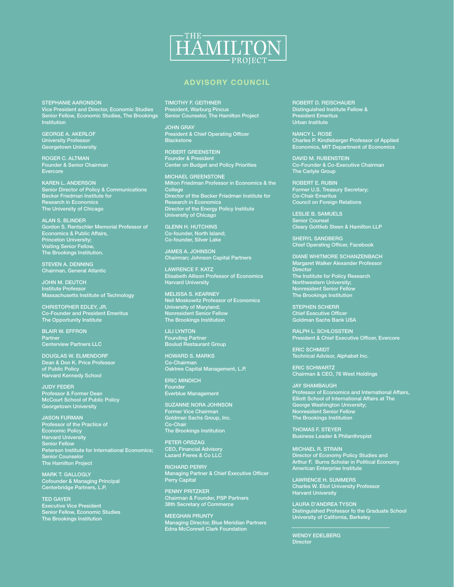

#### ADVISORY COUNCIL

STEPHANIE AARONSON Vice President and Director, Economic Studies Senior Fellow, Economic Studies, The Brookings Institution

GEORGE A. AKERLOF University Professor Georgetown University

ROGER C. ALTMAN Founder & Senior Chairman Evercore

KAREN L. ANDERSON Senior Director of Policy & Communications Becker Friedman Institute for Research in Economics The University of Chicago

ALAN S. BLINDER Gordon S. Rentschler Memorial Professor of Economics & Public Affairs, Princeton University; Visiting Senior Fellow, The Brookings Institution.

STEVEN A. DENNING Chairman, General Atlantic

JOHN M. DEUTCH Institute Professor Massachusetts Institute of Technology

CHRISTOPHER EDLEY, JR. Co-Founder and President Emeritus The Opportunity Institute

BLAIR W. EFFRON Partner Centerview Partners LLC

DOUGLAS W. ELMENDORF Dean & Don K. Price Professor of Public Policy Harvard Kennedy School

JUDY FEDER Professor & Former Dean McCourt School of Public Policy Georgetown University

JASON FURMAN Professor of the Practice of Economic Policy Harvard University Senior Fellow Peterson Institute for International Economics; Senior Counselor The Hamilton Project

MARK T. GALLOGLY Cofounder & Managing Principal Centerbridge Partners, L.P.

TED GAYER Executive Vice President Senior Fellow, Economic Studies The Brookings Institution

TIMOTHY F. GEITHNER President, Warburg Pincus Senior Counselor, The Hamilton Project

JOHN GRAY President & Chief Operating Officer **Blackstone** 

ROBERT GREENSTEIN Founder & President Center on Budget and Policy Priorities

MICHAEL GREENSTONE Milton Friedman Professor in Economics & the College Director of the Becker Friedman Institute for Research in Economics Director of the Energy Policy Institute University of Chicago

GLENN H. HUTCHINS Co-founder, North Island; Co-founder, Silver Lake

JAMES A. JOHNSON Chairman; Johnson Capital Partners

LAWRENCE F. KATZ Elisabeth Allison Professor of Economics Harvard University

MELISSA S. KEARNEY Neil Moskowitz Professor of Economics University of Maryland; Nonresident Senior Fellow The Brookings Institution

LILI LYNTON Founding Partner Boulud Restaurant Group

HOWARD S. MARKS Co-Chairman Oaktree Capital Management, L.P.

ERIC MINDICH Founder Everblue Management

SUZANNE NORA JOHNSON Former Vice Chairman Goldman Sachs Group, Inc. Co-Chair The Brookings Institution

PETER ORSZAG CEO, Financial Advisory Lazard Freres & Co LLC

RICHARD PERRY Managing Partner & Chief Executive Officer Perry Capital

PENNY PRITZKER Chairman & Founder, PSP Partners 38th Secretary of Commerce

MEEGHAN PRUNTY Managing Director, Blue Meridian Partners Edna McConnell Clark Foundation

ROBERT D. REISCHAUER Distinguished Institute Fellow & President Emeritus Urban Institute

NANCY L. ROSE Charles P. Kindleberger Professor of Applied Economics, MIT Department of Economics

DAVID M. RUBENSTEIN Co-Founder & Co-Executive Chairman The Carlyle Group

ROBERT E. RUBIN Former U.S. Treasury Secretary; Co-Chair Emeritus Council on Foreign Relations

LESLIE B. SAMUELS Senior Counsel Cleary Gottlieb Steen & Hamilton LLP

SHERYL SANDBERG Chief Operating Officer, Facebook

DIANE WHITMORE SCHANZENBACH Margaret Walker Alexander Professor **Director** The Institute for Policy Research Northwestern University; Nonresident Senior Fellow The Brookings Institution

STEPHEN SCHERR Chief Executive Officer Goldman Sachs Bank USA

RALPH L. SCHLOSSTEIN President & Chief Executive Officer, Evercore

ERIC SCHMIDT Technical Advisor, Alphabet Inc.

ERIC SCHWARTZ Chairman & CEO, 76 West Holdings

JAY SHAMBAUGH Professor of Economics and International Affairs, Elliott School of International Affairs at The George Washington University; Nonresident Senior Fellow The Brookings Institution

THOMAS F. STEYER Business Leader & Philanthropist

MICHAEL R. STRAIN Director of Economy Policy Studies and Arthur F. Burns Scholar in Political Economy American Enterprise Institute

LAWRENCE H. SUMMERS Charles W. Eliot University Professor Harvard University

LAURA D'ANDREA TYSON Distinguished Professor fo the Graduate School University of California, Berkeley

WENDY EDELBERG Director